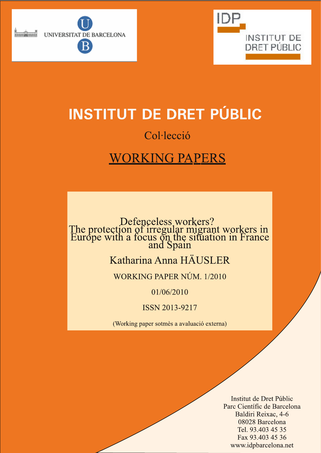



# **INSTITUT DE DRET PÚBLIC**

# Col·lecció

# **WORKING PAPERS**

Defenceless workers?<br>The protection of irregular migrant workers in<br>Europe with a focus on the situation in France<br>and Spain

## Katharina Anna HÄUSLER

WORKING PAPER NÚM. 1/2010

01/06/2010

**ISSN 2013-9217** 

(Working paper sotmès a avaluació externa)

Institut de Dret Públic Parc Científic de Barcelona Baldiri Reixac, 4-6 08028 Barcelona Tel. 93.403 45 35 Fax 93.403 45 36 www.idpbarcelona.net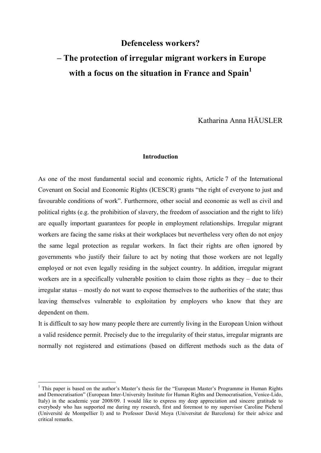## **Defenceless workers? – The protection of irregular migrant workers in Europe**  with a focus on the situation in France and Spain<sup>1</sup>

Katharina Anna HÄUSLER

#### **Introduction**

As one of the most fundamental social and economic rights, Article 7 of the International Covenant on Social and Economic Rights (ICESCR) grants "the right of everyone to just and favourable conditions of work". Furthermore, other social and economic as well as civil and political rights (e.g. the prohibition of slavery, the freedom of association and the right to life) are equally important guarantees for people in employment relationships. Irregular migrant workers are facing the same risks at their workplaces but nevertheless very often do not enjoy the same legal protection as regular workers. In fact their rights are often ignored by governments who justify their failure to act by noting that those workers are not legally employed or not even legally residing in the subject country. In addition, irregular migrant workers are in a specifically vulnerable position to claim those rights as they – due to their irregular status – mostly do not want to expose themselves to the authorities of the state; thus leaving themselves vulnerable to exploitation by employers who know that they are dependent on them.

It is difficult to say how many people there are currently living in the European Union without a valid residence permit. Precisely due to the irregularity of their status, irregular migrants are normally not registered and estimations (based on different methods such as the data of

<sup>&</sup>lt;sup>1</sup> This paper is based on the author's Master's thesis for the "European Master's Programme in Human Rights and Democratisation" (European Inter-University Institute for Human Rights and Democratisation, Venice-Lido, Italy) in the academic year 2008/09. I would like to express my deep appreciation and sincere gratitude to everybody who has supported me during my research, first and foremost to my supervisor Caroline Picheral (Université de Montpellier I) and to Professor David Moya (Universitat de Barcelona) for their advice and critical remarks.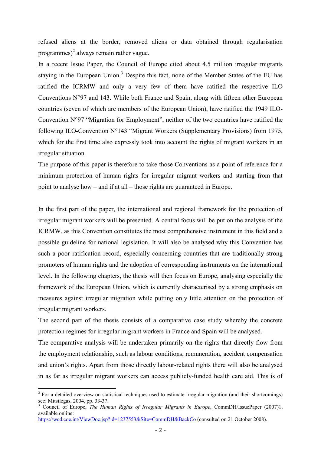refused aliens at the border, removed aliens or data obtained through regularisation programmes) $2$  always remain rather vague.

In a recent Issue Paper, the Council of Europe cited about 4.5 million irregular migrants staying in the European Union.<sup>3</sup> Despite this fact, none of the Member States of the EU has ratified the ICRMW and only a very few of them have ratified the respective ILO Conventions N°97 and 143. While both France and Spain, along with fifteen other European countries (seven of which are members of the European Union), have ratified the 1949 ILO-Convention N°97 "Migration for Employment", neither of the two countries have ratified the following ILO-Convention N°143 "Migrant Workers (Supplementary Provisions) from 1975, which for the first time also expressly took into account the rights of migrant workers in an irregular situation.

The purpose of this paper is therefore to take those Conventions as a point of reference for a minimum protection of human rights for irregular migrant workers and starting from that point to analyse how – and if at all – those rights are guaranteed in Europe.

In the first part of the paper, the international and regional framework for the protection of irregular migrant workers will be presented. A central focus will be put on the analysis of the ICRMW, as this Convention constitutes the most comprehensive instrument in this field and a possible guideline for national legislation. It will also be analysed why this Convention has such a poor ratification record, especially concerning countries that are traditionally strong promoters of human rights and the adoption of corresponding instruments on the international level. In the following chapters, the thesis will then focus on Europe, analysing especially the framework of the European Union, which is currently characterised by a strong emphasis on measures against irregular migration while putting only little attention on the protection of irregular migrant workers.

The second part of the thesis consists of a comparative case study whereby the concrete protection regimes for irregular migrant workers in France and Spain will be analysed.

The comparative analysis will be undertaken primarily on the rights that directly flow from the employment relationship, such as labour conditions, remuneration, accident compensation and union's rights. Apart from those directly labour-related rights there will also be analysed in as far as irregular migrant workers can access publicly-funded health care aid. This is of

 $2^2$  For a detailed overview on statistical techniques used to estimate irregular migration (and their shortcomings) see: Mitsilegas, 2004, pp. 33-37.

<sup>3</sup> Council of Europe, *The Human Rights of Irregular Migrants in Europe*, CommDH/IssuePaper (2007)1, available online:

https://wcd.coe.int/ViewDoc.jsp?id=1237553&Site=CommDH&BackCo (consulted on 21 October 2008).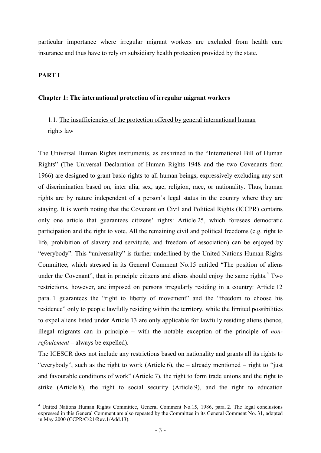particular importance where irregular migrant workers are excluded from health care insurance and thus have to rely on subsidiary health protection provided by the state.

#### **PART I**

#### **Chapter 1: The international protection of irregular migrant workers**

## 1.1. The insufficiencies of the protection offered by general international human rights law

The Universal Human Rights instruments, as enshrined in the "International Bill of Human Rights" (The Universal Declaration of Human Rights 1948 and the two Covenants from 1966) are designed to grant basic rights to all human beings, expressively excluding any sort of discrimination based on, inter alia, sex, age, religion, race, or nationality. Thus, human rights are by nature independent of a person's legal status in the country where they are staying. It is worth noting that the Covenant on Civil and Political Rights (ICCPR) contains only one article that guarantees citizens' rights: Article 25, which foresees democratic participation and the right to vote. All the remaining civil and political freedoms (e.g. right to life, prohibition of slavery and servitude, and freedom of association) can be enjoyed by "everybody". This "universality" is further underlined by the United Nations Human Rights Committee, which stressed in its General Comment No.15 entitled "The position of aliens under the Covenant", that in principle citizens and aliens should enjoy the same rights. $4$  Two restrictions, however, are imposed on persons irregularly residing in a country: Article 12 para. 1 guarantees the "right to liberty of movement" and the "freedom to choose his residence" only to people lawfully residing within the territory, while the limited possibilities to expel aliens listed under Article 13 are only applicable for lawfully residing aliens (hence, illegal migrants can in principle – with the notable exception of the principle of *nonrefoulement* – always be expelled).

The ICESCR does not include any restrictions based on nationality and grants all its rights to "everybody", such as the right to work (Article 6), the – already mentioned – right to "just and favourable conditions of work" (Article 7), the right to form trade unions and the right to strike (Article 8), the right to social security (Article 9), and the right to education

<sup>-</sup><sup>4</sup> United Nations Human Rights Committee, General Comment No.15, 1986, para. 2. The legal conclusions expressed in this General Comment are also repeated by the Committee in its General Comment No. 31, adopted in May 2000 (CCPR/C/21/Rev.1/Add.13).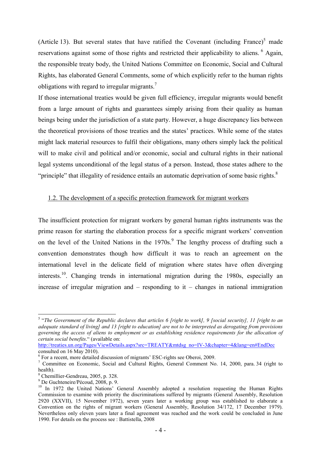(Article 13). But several states that have ratified the Covenant (including France)<sup>5</sup> made reservations against some of those rights and restricted their applicability to aliens.<sup>6</sup> Again, the responsible treaty body, the United Nations Committee on Economic, Social and Cultural Rights, has elaborated General Comments, some of which explicitly refer to the human rights obligations with regard to irregular migrants.<sup>7</sup>

If those international treaties would be given full efficiency, irregular migrants would benefit from a large amount of rights and guarantees simply arising from their quality as human beings being under the jurisdiction of a state party. However, a huge discrepancy lies between the theoretical provisions of those treaties and the states' practices. While some of the states might lack material resources to fulfil their obligations, many others simply lack the political will to make civil and political and/or economic, social and cultural rights in their national legal systems unconditional of the legal status of a person. Instead, those states adhere to the "principle" that illegality of residence entails an automatic deprivation of some basic rights. $8$ 

#### 1.2. The development of a specific protection framework for migrant workers

The insufficient protection for migrant workers by general human rights instruments was the prime reason for starting the elaboration process for a specific migrant workers' convention on the level of the United Nations in the 1970s.<sup>9</sup> The lengthy process of drafting such a convention demonstrates though how difficult it was to reach an agreement on the international level in the delicate field of migration where states have often diverging interests.<sup>10</sup>. Changing trends in international migration during the 1980s, especially an increase of irregular migration and  $-$  responding to it  $-$  changes in national immigration

http://treaties.un.org/Pages/ViewDetails.aspx?src=TREATY&mtdsg\_no=IV-3&chapter=4&lang=en#EndDec consulted on 16 May 2010).

<sup>&</sup>lt;sup>5</sup> "The Government of the Republic declares that articles 6 [right to work], 9 [social security], 11 [right to an *adequate standard of living] and 13 [right to education] are not to be interpreted as derogating from provisions governing the access of aliens to employment or as establishing residence requirements for the allocation of certain social benefits*." (available on:

<sup>6</sup> For a recent, more detailed discussion of migrants' ESC-rights see Oberoi, 2009.

<sup>&</sup>lt;sup>7</sup> Committee on Economic, Social and Cultural Rights, General Comment No. 14, 2000, para. 34 (right to health).

<sup>8</sup> Chemillier-Gendreau, 2005, p. 328.

<sup>9</sup> De Guchteneire/Pécoud, 2008, p. 9.

<sup>&</sup>lt;sup>10</sup> In 1972 the United Nations' General Assembly adopted a resolution requesting the Human Rights Commission to examine with priority the discriminations suffered by migrants (General Assembly, Resolution 2920 (XXVII), 15 November 1972), seven years later a working group was established to elaborate a Convention on the rights of migrant workers (General Assembly, Resolution 34/172, 17 December 1979). Nevertheless only eleven years later a final agreement was reached and the work could be concluded in June 1990. For details on the process see : Battistella, 2008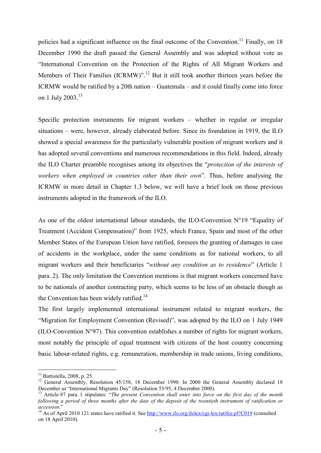policies had a significant influence on the final outcome of the Convention.<sup>11</sup> Finally, on 18 December 1990 the draft passed the General Assembly and was adopted without vote as "International Convention on the Protection of the Rights of All Migrant Workers and Members of Their Families (ICRMW)".<sup>12</sup> But it still took another thirteen years before the ICRMW would be ratified by a 20th nation – Guatemala – and it could finally come into force on 1 July 2003.<sup>13</sup>

Specific protection instruments for migrant workers – whether in regular or irregular situations – were, however, already elaborated before. Since its foundation in 1919, the ILO showed a special awareness for the particularly vulnerable position of migrant workers and it has adopted several conventions and numerous recommendations in this field. Indeed, already the ILO Charter preamble recognises among its objectives the "*protection of the interests of workers when employed in countries other than their own*". Thus, before analysing the ICRMW in more detail in Chapter 1.3 below, we will have a brief look on those previous instruments adopted in the framework of the ILO.

As one of the oldest international labour standards, the ILO-Convention N°19 "Equality of Treatment (Accident Compensation)" from 1925, which France, Spain and most of the other Member States of the European Union have ratified, foresees the granting of damages in case of accidents in the workplace, under the same conditions as for national workers, to all migrant workers and their beneficiaries "*without any condition as to residence*" (Article 1 para. 2). The only limitation the Convention mentions is that migrant workers concerned have to be nationals of another contracting party, which seems to be less of an obstacle though as the Convention has been widely ratified.<sup>14</sup>

The first largely implemented international instrument related to migrant workers, the "Migration for Employment Convention (Revised)", was adopted by the ILO on 1 July 1949 (ILO-Convention N°97). This convention establishes a number of rights for migrant workers, most notably the principle of equal treatment with citizens of the host country concerning basic labour-related rights, e.g. remuneration, membership in trade unions, living conditions,

 $11$  Battistella, 2008, p. 25.

<sup>&</sup>lt;sup>12</sup> General Assembly, Resolution 45/158, 18 December 1990. In 2000 the General Assembly declared 18 December as "International Migrants Day" (Resolution 55/95, 4 December 2000).

<sup>&</sup>lt;sup>13</sup> Article 87 para. 1 stipulates: "*The present Convention shall enter into force on the first day of the month following a period of three months after the date of the deposit of the twentieth instrument of ratification or accession.*"

<sup>&</sup>lt;sup>14</sup> As of April 2010 121 states have ratified it. See http://www.ilo.org/ilolex/cgi-lex/ratifce.pl?C019 (consulted on 18 April 2010).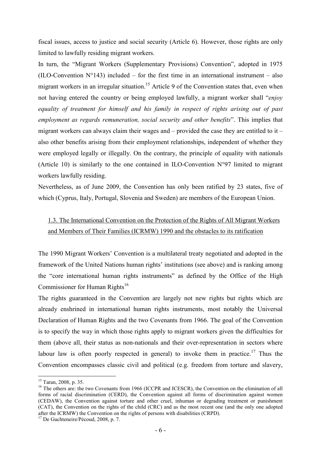fiscal issues, access to justice and social security (Article 6). However, those rights are only limited to lawfully residing migrant workers.

In turn, the "Migrant Workers (Supplementary Provisions) Convention", adopted in 1975 (ILO-Convention  $N^{\circ}143$ ) included – for the first time in an international instrument – also migrant workers in an irregular situation.<sup>15</sup> Article 9 of the Convention states that, even when not having entered the country or being employed lawfully, a migrant worker shall "*enjoy equality of treatment for himself and his family in respect of rights arising out of past employment as regards remuneration, social security and other benefits*". This implies that migrant workers can always claim their wages and – provided the case they are entitled to it – also other benefits arising from their employment relationships, independent of whether they were employed legally or illegally. On the contrary, the principle of equality with nationals (Article 10) is similarly to the one contained in ILO-Convention  $N^{\circ}97$  limited to migrant workers lawfully residing.

Nevertheless, as of June 2009, the Convention has only been ratified by 23 states, five of which (Cyprus, Italy, Portugal, Slovenia and Sweden) are members of the European Union.

## 1.3. The International Convention on the Protection of the Rights of All Migrant Workers and Members of Their Families (ICRMW) 1990 and the obstacles to its ratification

The 1990 Migrant Workers' Convention is a multilateral treaty negotiated and adopted in the framework of the United Nations human rights' institutions (see above) and is ranking among the "core international human rights instruments" as defined by the Office of the High Commissioner for Human Rights<sup>16</sup>

The rights guaranteed in the Convention are largely not new rights but rights which are already enshrined in international human rights instruments, most notably the Universal Declaration of Human Rights and the two Covenants from 1966. The goal of the Convention is to specify the way in which those rights apply to migrant workers given the difficulties for them (above all, their status as non-nationals and their over-representation in sectors where labour law is often poorly respected in general) to invoke them in practice.<sup>17</sup> Thus the Convention encompasses classic civil and political (e.g. freedom from torture and slavery,

<sup>15</sup> Taran, 2008, p. 35.

<sup>&</sup>lt;sup>16</sup> The others are: the two Covenants from 1966 (ICCPR and ICESCR), the Convention on the elimination of all forms of racial discrimination (CERD), the Convention against all forms of discrimination against women (CEDAW), the Convention against torture and other cruel, inhuman or degrading treatment or punishment (CAT), the Convention on the rights of the child (CRC) and as the most recent one (and the only one adopted after the ICRMW) the Convention on the rights of persons with disabilities (CRPD).

<sup>17</sup> De Guchteneire/Pécoud, 2008, p. 7.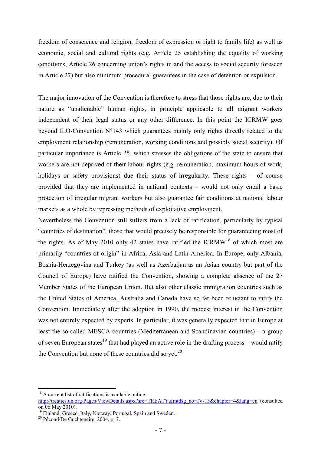freedom of conscience and religion, freedom of expression or right to family life) as well as economic, social and cultural rights (e.g. Article 25 establishing the equality of working conditions, Article 26 concerning union's rights in and the access to social security foreseen in Article 27) but also minimum procedural guarantees in the case of detention or expulsion.

The major innovation of the Convention is therefore to stress that those rights are, due to their nature as "unalienable" human rights, in principle applicable to all migrant workers independent of their legal status or any other difference. In this point the ICRMW goes beyond ILO-Convention N°143 which guarantees mainly only rights directly related to the employment relationship (remuneration, working conditions and possibly social security). Of particular importance is Article 25, which stresses the obligations of the state to ensure that workers are not deprived of their labour rights (e.g. remuneration, maximum hours of work, holidays or safety provisions) due their status of irregularity. These rights – of course provided that they are implemented in national contexts – would not only entail a basic protection of irregular migrant workers but also guarantee fair conditions at national labour markets as a whole by repressing methods of exploitative employment.

Nevertheless the Convention still suffers from a lack of ratification, particularly by typical "countries of destination", those that would precisely be responsible for guaranteeing most of the rights. As of May 2010 only 42 states have ratified the ICRMW<sup>18</sup> of which most are primarily "countries of origin" in Africa, Asia and Latin America. In Europe, only Albania, Bosnia-Herzegovina and Turkey (as well as Azerbaijan as an Asian country but part of the Council of Europe) have ratified the Convention, showing a complete absence of the 27 Member States of the European Union. But also other classic immigration countries such as the United States of America, Australia and Canada have so far been reluctant to ratify the Convention. Immediately after the adoption in 1990, the modest interest in the Convention was not entirely expected by experts. In particular, it was generally expected that in Europe at least the so-called MESCA-countries (Mediterranean and Scandinavian countries) – a group of seven European states<sup>19</sup> that had played an active role in the drafting process – would ratify the Convention but none of these countries did so yet. $20$ 

<sup>&</sup>lt;sup>18</sup> A current list of ratifications is available online: http://treaties.un.org/Pages/ViewDetails.aspx?src=TREATY&mtdsg\_no=IV-13&chapter=4&lang=en (consulted on 06 May 2010).

<sup>&</sup>lt;sup>19</sup> Finland, Greece, Italy, Norway, Portugal, Spain and Sweden.

<sup>20</sup> Pécoud/De Guchteneire, 2004, p. 7.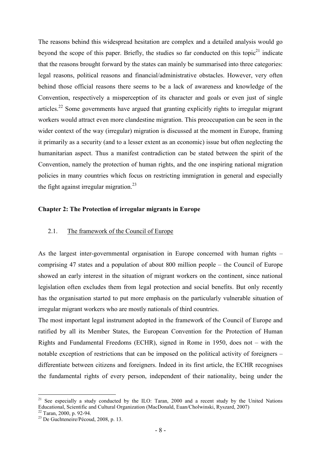The reasons behind this widespread hesitation are complex and a detailed analysis would go beyond the scope of this paper. Briefly, the studies so far conducted on this topic $21$  indicate that the reasons brought forward by the states can mainly be summarised into three categories: legal reasons, political reasons and financial/administrative obstacles. However, very often behind those official reasons there seems to be a lack of awareness and knowledge of the Convention, respectively a misperception of its character and goals or even just of single articles.<sup>22</sup> Some governments have argued that granting explicitly rights to irregular migrant workers would attract even more clandestine migration. This preoccupation can be seen in the wider context of the way (irregular) migration is discussed at the moment in Europe, framing it primarily as a security (and to a lesser extent as an economic) issue but often neglecting the humanitarian aspect. Thus a manifest contradiction can be stated between the spirit of the Convention, namely the protection of human rights, and the one inspiring national migration policies in many countries which focus on restricting immigration in general and especially the fight against irregular migration.<sup>23</sup>

#### **Chapter 2: The Protection of irregular migrants in Europe**

#### 2.1. The framework of the Council of Europe

As the largest inter-governmental organisation in Europe concerned with human rights – comprising 47 states and a population of about 800 million people – the Council of Europe showed an early interest in the situation of migrant workers on the continent, since national legislation often excludes them from legal protection and social benefits. But only recently has the organisation started to put more emphasis on the particularly vulnerable situation of irregular migrant workers who are mostly nationals of third countries.

The most important legal instrument adopted in the framework of the Council of Europe and ratified by all its Member States, the European Convention for the Protection of Human Rights and Fundamental Freedoms (ECHR), signed in Rome in 1950, does not – with the notable exception of restrictions that can be imposed on the political activity of foreigners – differentiate between citizens and foreigners. Indeed in its first article, the ECHR recognises the fundamental rights of every person, independent of their nationality, being under the

<sup>&</sup>lt;sup>21</sup> See especially a study conducted by the ILO: Taran, 2000 and a recent study by the United Nations Educational, Scientific and Cultural Organization (MacDonald, Euan/Cholwinski, Ryszard, 2007)

 $22$  Taran, 2000, p. 92-94.

<sup>23</sup> De Guchteneire/Pécoud, 2008, p. 13.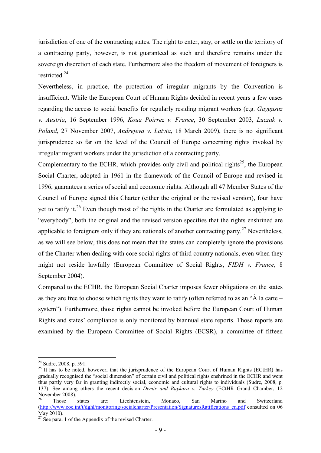jurisdiction of one of the contracting states. The right to enter, stay, or settle on the territory of a contracting party, however, is not guaranteed as such and therefore remains under the sovereign discretion of each state. Furthermore also the freedom of movement of foreigners is restricted.<sup>24</sup>

Nevertheless, in practice, the protection of irregular migrants by the Convention is insufficient. While the European Court of Human Rights decided in recent years a few cases regarding the access to social benefits for regularly residing migrant workers (e.g. *Gaygusuz v. Austria*, 16 September 1996, *Koua Poirrez v. France*, 30 September 2003, *Luczak v. Poland*, 27 November 2007, *Andrejeva v. Latvia*, 18 March 2009), there is no significant jurisprudence so far on the level of the Council of Europe concerning rights invoked by irregular migrant workers under the jurisdiction of a contracting party.

Complementary to the ECHR, which provides only civil and political rights<sup>25</sup>, the European Social Charter, adopted in 1961 in the framework of the Council of Europe and revised in 1996, guarantees a series of social and economic rights. Although all 47 Member States of the Council of Europe signed this Charter (either the original or the revised version), four have yet to ratify it.<sup>26</sup> Even though most of the rights in the Charter are formulated as applying to "everybody", both the original and the revised version specifies that the rights enshrined are applicable to foreigners only if they are nationals of another contracting party.<sup>27</sup> Nevertheless. as we will see below, this does not mean that the states can completely ignore the provisions of the Charter when dealing with core social rights of third country nationals, even when they might not reside lawfully (European Committee of Social Rights, *FIDH v. France*, 8 September 2004).

Compared to the ECHR, the European Social Charter imposes fewer obligations on the states as they are free to choose which rights they want to ratify (often referred to as an "À la carte – system"). Furthermore, those rights cannot be invoked before the European Court of Human Rights and states' compliance is only monitored by biannual state reports. Those reports are examined by the European Committee of Social Rights (ECSR), a committee of fifteen

<sup>&</sup>lt;u>.</u>  $24$  Sudre, 2008, p. 591.

<sup>&</sup>lt;sup>25</sup> It has to be noted, however, that the jurisprudence of the European Court of Human Rights (ECtHR) has gradually recognised the "social dimension" of certain civil and political rights enshrined in the ECHR and went thus partly very far in granting indirectly social, economic and cultural rights to individuals (Sudre, 2008, p. 137). See among others the recent decision *Demir and Baykara v. Turkey* (ECtHR Grand Chamber, 12 November 2008).

<sup>&</sup>lt;sup>26</sup> Those states are: Liechtenstein, Monaco, San Marino and Switzerland (http://www.coe.int/t/dghl/monitoring/socialcharter/Presentation/SignaturesRatifications\_en.pdf consulted on 06 May 2010).

 $27$  See para. 1 of the Appendix of the revised Charter.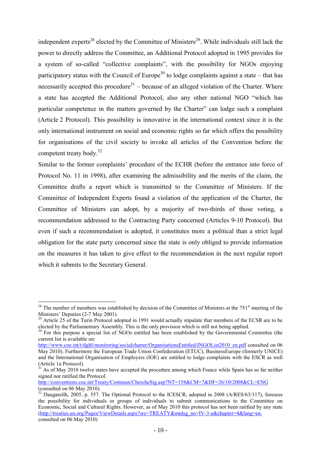independent experts<sup>28</sup> elected by the Committee of Ministers<sup>29</sup>. While individuals still lack the power to directly address the Committee, an Additional Protocol adopted in 1995 provides for a system of so-called "collective complaints", with the possibility for NGOs enjoying participatory status with the Council of Europe<sup>30</sup> to lodge complaints against a state – that has necessarily accepted this procedure<sup>31</sup> – because of an alleged violation of the Charter. Where a state has accepted the Additional Protocol, also any other national NGO "which has particular competence in the matters governed by the Charter" can lodge such a complaint (Article 2 Protocol). This possibility is innovative in the international context since it is the only international instrument on social and economic rights so far which offers the possibility for organisations of the civil society to invoke all articles of the Convention before the competent treaty body.<sup>32</sup>

Similar to the former complaints' procedure of the ECHR (before the entrance into force of Protocol No. 11 in 1998), after examining the admissibility and the merits of the claim, the Committee drafts a report which is transmitted to the Committee of Ministers. If the Committee of Independent Experts found a violation of the application of the Charter, the Committee of Ministers can adopt, by a majority of two-thirds of those voting, a recommendation addressed to the Contracting Party concerned (Articles 9-10 Protocol). But even if such a recommendation is adopted, it constitutes more a political than a strict legal obligation for the state party concerned since the state is only obliged to provide information on the measures it has taken to give effect to the recommendation in the next regular report which it submits to the Secretary General.

<sup>&</sup>lt;u>.</u>  $28$  The number of members was established by decision of the Committee of Ministers at the 751<sup>st</sup> meeting of the Ministers' Deputies (2-7 May 2001).

<sup>&</sup>lt;sup>29</sup> Article 25 of the Turin Protocol adopted in 1991 would actually stipulate that members of the ECSR are to be elected by the Parliamentary Assembly. This is the only provision which is still not being applied.

<sup>&</sup>lt;sup>30</sup> For this purpose a special list of NGOs entitled has been established by the Governmental Committee (the current list is available on:

http://www.coe.int/t/dghl/monitoring/socialcharter/OrganisationsEntitled/INGOList2010\_en.pdf consulted on 06 May 2010). Furthermore the European Trade Union Confederation (ETUC), BusinessEurope (formerly UNICE) and the International Organisation of Employers (IOE) are entitled to lodge complaints with the ESCR as well (Article 1a Protocol).

 $31$  As of May 2010 twelve states have accepted the procedure among which France while Spain has so far neither signed nor ratified the Protocol.

http://conventions.coe.int/Treaty/Commun/ChercheSig.asp?NT=158&CM=7&DF=26/10/2008&CL=ENG (consulted on 06 May 2010).

 $32$  Daugareilh, 2005, p. 557. The Optional Protocol to the ICESCR, adopted in 2008 (A/RES/63/117), foresees the possibility for individuals or groups of individuals to submit communications to the Committee on Economic, Social and Cultural Rights. However, as of May 2010 this protocol has not been ratified by any state (http://treaties.un.org/Pages/ViewDetails.aspx?src=TREATY&mtdsg\_no=IV-3-a&chapter=4&lang=en, consulted on 06 May 2010)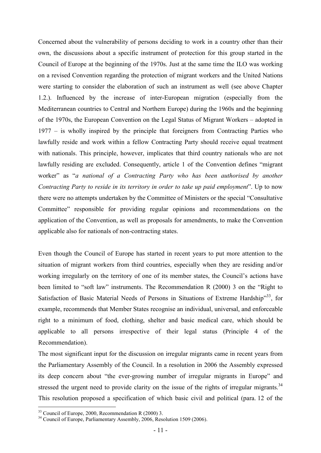Concerned about the vulnerability of persons deciding to work in a country other than their own, the discussions about a specific instrument of protection for this group started in the Council of Europe at the beginning of the 1970s. Just at the same time the ILO was working on a revised Convention regarding the protection of migrant workers and the United Nations were starting to consider the elaboration of such an instrument as well (see above Chapter 1.2.). Influenced by the increase of inter-European migration (especially from the Mediterranean countries to Central and Northern Europe) during the 1960s and the beginning of the 1970s, the European Convention on the Legal Status of Migrant Workers – adopted in 1977 – is wholly inspired by the principle that foreigners from Contracting Parties who lawfully reside and work within a fellow Contracting Party should receive equal treatment with nationals. This principle, however, implicates that third country nationals who are not lawfully residing are excluded. Consequently, article 1 of the Convention defines "migrant worker" as "*a national of a Contracting Party who has been authorised by another Contracting Party to reside in its territory in order to take up paid employment*". Up to now there were no attempts undertaken by the Committee of Ministers or the special "Consultative Committee" responsible for providing regular opinions and recommendations on the application of the Convention, as well as proposals for amendments, to make the Convention applicable also for nationals of non-contracting states.

Even though the Council of Europe has started in recent years to put more attention to the situation of migrant workers from third countries, especially when they are residing and/or working irregularly on the territory of one of its member states, the Council's actions have been limited to "soft law" instruments. The Recommendation R (2000) 3 on the "Right to Satisfaction of Basic Material Needs of Persons in Situations of Extreme Hardship"<sup>33</sup>, for example, recommends that Member States recognise an individual, universal, and enforceable right to a minimum of food, clothing, shelter and basic medical care, which should be applicable to all persons irrespective of their legal status (Principle 4 of the Recommendation).

The most significant input for the discussion on irregular migrants came in recent years from the Parliamentary Assembly of the Council. In a resolution in 2006 the Assembly expressed its deep concern about "the ever-growing number of irregular migrants in Europe" and stressed the urgent need to provide clarity on the issue of the rights of irregular migrants.<sup>34</sup> This resolution proposed a specification of which basic civil and political (para. 12 of the

 $33$  Council of Europe, 2000, Recommendation R (2000) 3.

<sup>&</sup>lt;sup>34</sup> Council of Europe, Parliamentary Assembly, 2006, Resolution 1509 (2006).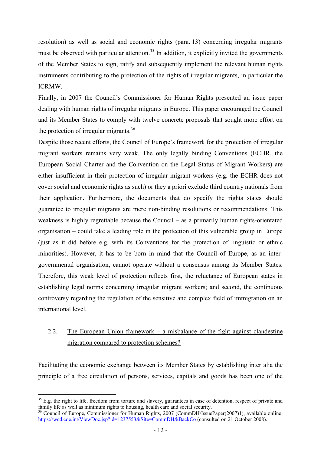resolution) as well as social and economic rights (para. 13) concerning irregular migrants must be observed with particular attention.<sup>35</sup> In addition, it explicitly invited the governments of the Member States to sign, ratify and subsequently implement the relevant human rights instruments contributing to the protection of the rights of irregular migrants, in particular the ICRMW.

Finally, in 2007 the Council's Commissioner for Human Rights presented an issue paper dealing with human rights of irregular migrants in Europe. This paper encouraged the Council and its Member States to comply with twelve concrete proposals that sought more effort on the protection of irregular migrants.<sup>36</sup>

Despite those recent efforts, the Council of Europe's framework for the protection of irregular migrant workers remains very weak. The only legally binding Conventions (ECHR, the European Social Charter and the Convention on the Legal Status of Migrant Workers) are either insufficient in their protection of irregular migrant workers (e.g. the ECHR does not cover social and economic rights as such) or they a priori exclude third country nationals from their application. Furthermore, the documents that do specify the rights states should guarantee to irregular migrants are mere non-binding resolutions or recommendations. This weakness is highly regrettable because the Council – as a primarily human rights-orientated organisation – could take a leading role in the protection of this vulnerable group in Europe (just as it did before e.g. with its Conventions for the protection of linguistic or ethnic minorities). However, it has to be born in mind that the Council of Europe, as an intergovernmental organisation, cannot operate without a consensus among its Member States. Therefore, this weak level of protection reflects first, the reluctance of European states in establishing legal norms concerning irregular migrant workers; and second, the continuous controversy regarding the regulation of the sensitive and complex field of immigration on an international level.

### 2.2. The European Union framework – a misbalance of the fight against clandestine migration compared to protection schemes?

Facilitating the economic exchange between its Member States by establishing inter alia the principle of a free circulation of persons, services, capitals and goods has been one of the

 $35$  E.g. the right to life, freedom from torture and slavery, guarantees in case of detention, respect of private and family life as well as minimum rights to housing, health care and social security.

<sup>&</sup>lt;sup>36</sup> Council of Europe, Commissioner for Human Rights, 2007 (CommDH/IssuePaper(2007)1), available online: https://wcd.coe.int/ViewDoc.jsp?id=1237553&Site=CommDH&BackCo (consulted on 21 October 2008).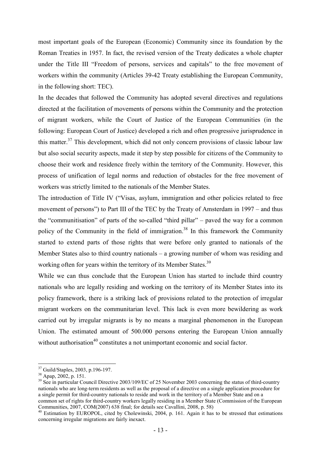most important goals of the European (Economic) Community since its foundation by the Roman Treaties in 1957. In fact, the revised version of the Treaty dedicates a whole chapter under the Title III "Freedom of persons, services and capitals" to the free movement of workers within the community (Articles 39-42 Treaty establishing the European Community, in the following short: TEC).

In the decades that followed the Community has adopted several directives and regulations directed at the facilitation of movements of persons within the Community and the protection of migrant workers, while the Court of Justice of the European Communities (in the following: European Court of Justice) developed a rich and often progressive jurisprudence in this matter.<sup>37</sup> This development, which did not only concern provisions of classic labour law but also social security aspects, made it step by step possible for citizens of the Community to choose their work and residence freely within the territory of the Community. However, this process of unification of legal norms and reduction of obstacles for the free movement of workers was strictly limited to the nationals of the Member States.

The introduction of Title IV ("Visas, asylum, immigration and other policies related to free movement of persons") to Part III of the TEC by the Treaty of Amsterdam in 1997 – and thus the "communitisation" of parts of the so-called "third pillar" – paved the way for a common policy of the Community in the field of immigration.<sup>38</sup> In this framework the Community started to extend parts of those rights that were before only granted to nationals of the Member States also to third country nationals – a growing number of whom was residing and working often for years within the territory of its Member States.<sup>39</sup>

While we can thus conclude that the European Union has started to include third country nationals who are legally residing and working on the territory of its Member States into its policy framework, there is a striking lack of provisions related to the protection of irregular migrant workers on the communitarian level. This lack is even more bewildering as work carried out by irregular migrants is by no means a marginal phenomenon in the European Union. The estimated amount of 500.000 persons entering the European Union annually without authorisation<sup>40</sup> constitutes a not unimportant economic and social factor.

<sup>&</sup>lt;sup>37</sup> Guild/Staples, 2003, p.196-197.

 $38$  Apap, 2002, p. 151.

<sup>&</sup>lt;sup>39</sup> See in particular Council Directive 2003/109/EC of 25 November 2003 concerning the status of third-country nationals who are long-term residents as well as the proposal of a directive on a single application procedure for a single permit for third-country nationals to reside and work in the territory of a Member State and on a common set of rights for third-country workers legally residing in a Member State (Commission of the European Communities, 2007, COM(2007) 638 final; for details see Cavallini, 2008, p. 58)

<sup>&</sup>lt;sup>40</sup> Estimation by EUROPOL, cited by Cholewinski, 2004, p. 161. Again it has to be stressed that estimations concerning irregular migrations are fairly inexact.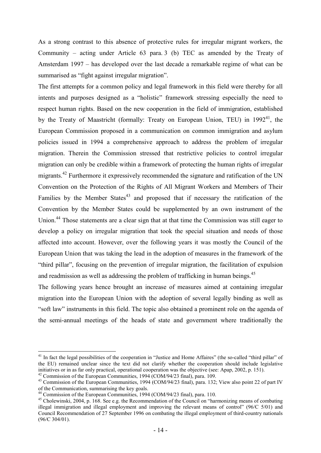As a strong contrast to this absence of protective rules for irregular migrant workers, the Community – acting under Article 63 para. 3 (b) TEC as amended by the Treaty of Amsterdam 1997 – has developed over the last decade a remarkable regime of what can be summarised as "fight against irregular migration".

The first attempts for a common policy and legal framework in this field were thereby for all intents and purposes designed as a "holistic" framework stressing especially the need to respect human rights. Based on the new cooperation in the field of immigration, established by the Treaty of Maastricht (formally: Treaty on European Union, TEU) in  $1992<sup>41</sup>$ , the European Commission proposed in a communication on common immigration and asylum policies issued in 1994 a comprehensive approach to address the problem of irregular migration. Therein the Commission stressed that restrictive policies to control irregular migration can only be credible within a framework of protecting the human rights of irregular migrants.<sup>42</sup> Furthermore it expressively recommended the signature and ratification of the UN Convention on the Protection of the Rights of All Migrant Workers and Members of Their Families by the Member States<sup> $43$ </sup> and proposed that if necessary the ratification of the Convention by the Member States could be supplemented by an own instrument of the Union.<sup>44</sup> Those statements are a clear sign that at that time the Commission was still eager to develop a policy on irregular migration that took the special situation and needs of those affected into account. However, over the following years it was mostly the Council of the European Union that was taking the lead in the adoption of measures in the framework of the "third pillar", focusing on the prevention of irregular migration, the facilitation of expulsion and readmission as well as addressing the problem of trafficking in human beings.<sup>45</sup>

The following years hence brought an increase of measures aimed at containing irregular migration into the European Union with the adoption of several legally binding as well as "soft law" instruments in this field. The topic also obtained a prominent role on the agenda of the semi-annual meetings of the heads of state and government where traditionally the

1

<sup>&</sup>lt;sup>41</sup> In fact the legal possibilities of the cooperation in "Justice and Home Affaires" (the so-called "third pillar" of the EU) remained unclear since the text did not clarify whether the cooperation should include legislative initiatives or in as far only practical, operational cooperation was the objective (see: Apap, 2002, p. 151).

 $42$  Commission of the European Communities, 1994 (COM/94/23 final), para. 109.

<sup>&</sup>lt;sup>43</sup> Commission of the European Communities, 1994 (COM/94/23 final), para. 132; View also point 22 of part IV of the Communication, summarising the key goals.

<sup>&</sup>lt;sup>44</sup> Commission of the European Communities, 1994 (COM/94/23 final), para. 110.

<sup>&</sup>lt;sup>45</sup> Cholewinski, 2004, p. 168. See e.g. the Recommendation of the Council on "harmonizing means of combating illegal immigration and illegal employment and improving the relevant means of control" (96/C 5/01) and Council Recommendation of 27 September 1996 on combating the illegal employment of third-country nationals (96/C 304/01).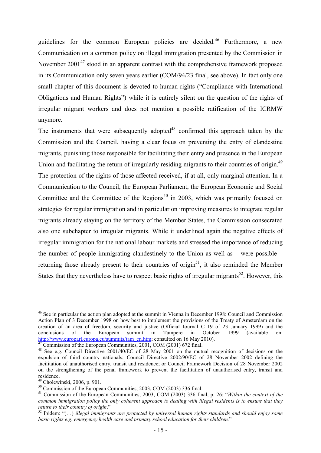guidelines for the common European policies are decided.<sup>46</sup> Furthermore, a new Communication on a common policy on illegal immigration presented by the Commission in November 2001<sup>47</sup> stood in an apparent contrast with the comprehensive framework proposed in its Communication only seven years earlier (COM/94/23 final, see above). In fact only one small chapter of this document is devoted to human rights ("Compliance with International Obligations and Human Rights") while it is entirely silent on the question of the rights of irregular migrant workers and does not mention a possible ratification of the ICRMW anymore.

The instruments that were subsequently adopted<sup>48</sup> confirmed this approach taken by the Commission and the Council, having a clear focus on preventing the entry of clandestine migrants, punishing those responsible for facilitating their entry and presence in the European Union and facilitating the return of irregularly residing migrants to their countries of origin.<sup>49</sup> The protection of the rights of those affected received, if at all, only marginal attention. In a Communication to the Council, the European Parliament, the European Economic and Social Committee and the Committee of the Regions<sup>50</sup> in 2003, which was primarily focused on strategies for regular immigration and in particular on improving measures to integrate regular migrants already staying on the territory of the Member States, the Commission consecrated also one subchapter to irregular migrants. While it underlined again the negative effects of irregular immigration for the national labour markets and stressed the importance of reducing the number of people immigrating clandestinely to the Union as well as  $-$  were possible  $$ returning those already present to their countries of origin<sup>51</sup>, it also reminded the Member States that they nevertheless have to respect basic rights of irregular migrants<sup>52</sup>. However, this

<sup>-</sup><sup>46</sup> See in particular the action plan adopted at the summit in Vienna in December 1998: Council and Commission Action Plan of 3 December 1998 on how best to implement the provisions of the Treaty of Amsterdam on the creation of an area of freedom, security and justice (Official Journal C 19 of 23 January 1999) and the in October 1999 (available on: http://www.europarl.europa.eu/summits/tam\_en.htm; consulted on 16 May 2010).

Commission of the European Communities, 2001, COM (2001) 672 final.

<sup>&</sup>lt;sup>48</sup> See e.g. Council Directive 2001/40/EC of 28 May 2001 on the mutual recognition of decisions on the expulsion of third country nationals; Council Directive 2002/90/EC of 28 November 2002 defining the facilitation of unauthorised entry, transit and residence; or Council Framework Decision of 28 November 2002 on the strengthening of the penal framework to prevent the facilitation of unauthorised entry, transit and residence.

 $49$  Cholewinski, 2006, p. 901.

 $50$  Commission of the European Communities, 2003, COM (2003) 336 final.

<sup>51</sup> Commission of the European Communities, 2003, COM (2003) 336 final, p. 26: "*Within the context of the common immigration policy the only coherent approach to dealing with illegal residents is to ensure that they return to their country of origin*."

<sup>52</sup> Ibidem: "(…) *illegal immigrants are protected by universal human rights standards and should enjoy some basic rights e.g. emergency health care and primary school education for their children.*"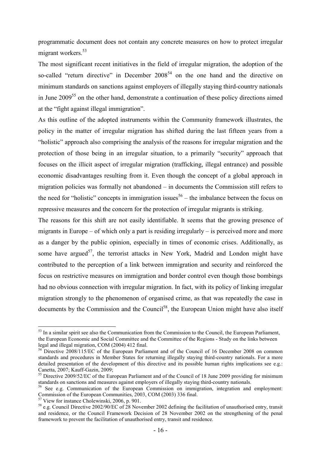programmatic document does not contain any concrete measures on how to protect irregular migrant workers.<sup>53</sup>

The most significant recent initiatives in the field of irregular migration, the adoption of the so-called "return directive" in December 2008<sup>54</sup> on the one hand and the directive on minimum standards on sanctions against employers of illegally staying third-country nationals in June 2009<sup>55</sup> on the other hand, demonstrate a continuation of these policy directions aimed at the "fight against illegal immigration".

As this outline of the adopted instruments within the Community framework illustrates, the policy in the matter of irregular migration has shifted during the last fifteen years from a "holistic" approach also comprising the analysis of the reasons for irregular migration and the protection of those being in an irregular situation, to a primarily "security" approach that focuses on the illicit aspect of irregular migration (trafficking, illegal entrance) and possible economic disadvantages resulting from it. Even though the concept of a global approach in migration policies was formally not abandoned – in documents the Commission still refers to the need for "holistic" concepts in immigration issues<sup>56</sup> – the imbalance between the focus on repressive measures and the concern for the protection of irregular migrants is striking.

The reasons for this shift are not easily identifiable. It seems that the growing presence of migrants in Europe – of which only a part is residing irregularly – is perceived more and more as a danger by the public opinion, especially in times of economic crises. Additionally, as some have argued<sup>57</sup>, the terrorist attacks in New York, Madrid and London might have contributed to the perception of a link between immigration and security and reinforced the focus on restrictive measures on immigration and border control even though those bombings had no obvious connection with irregular migration. In fact, with its policy of linking irregular migration strongly to the phenomenon of organised crime, as that was repeatedly the case in documents by the Commission and the Council<sup>58</sup>, the European Union might have also itself

<sup>&</sup>lt;sup>53</sup> In a similar spirit see also the Communication from the Commission to the Council, the European Parliament, the European Economic and Social Committee and the Committee of the Regions - Study on the links between legal and illegal migration, COM (2004) 412 final.

<sup>&</sup>lt;sup>54</sup> Directive 2008/115/EC of the European Parliament and of the Council of 16 December 2008 on common standards and procedures in Member States for returning illegally staying third-country nationals. For a more detailed presentation of the development of this directive and its possible human rights implications see e.g.: Canetta, 2007; Kauff-Gazin, 2009;

<sup>&</sup>lt;sup>55</sup> Directive 2009/52/EC of the European Parliament and of the Council of 18 June 2009 providing for minimum standards on sanctions and measures against employers of illegally staying third-country nationals.

<sup>&</sup>lt;sup>56</sup> See e.g. Communication of the European Commission on immigration, integration and employment: Commission of the European Communities, 2003, COM (2003) 336 final.

<sup>57</sup> View for instance Cholewinski, 2006, p. 901.

<sup>&</sup>lt;sup>58</sup> e.g. Council Directive 2002/90/EC of 28 November 2002 defining the facilitation of unauthorised entry, transit and residence, or the Council Framework Decision of 28 November 2002 on the strengthening of the penal framework to prevent the facilitation of unauthorised entry, transit and residence.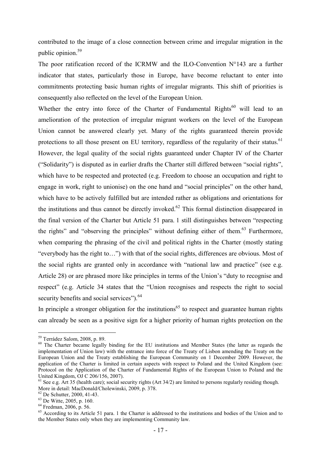contributed to the image of a close connection between crime and irregular migration in the public opinion.<sup>59</sup>

The poor ratification record of the ICRMW and the ILO-Convention  $N^{\circ}143$  are a further indicator that states, particularly those in Europe, have become reluctant to enter into commitments protecting basic human rights of irregular migrants. This shift of priorities is consequently also reflected on the level of the European Union.

Whether the entry into force of the Charter of Fundamental Rights<sup>60</sup> will lead to an amelioration of the protection of irregular migrant workers on the level of the European Union cannot be answered clearly yet. Many of the rights guaranteed therein provide protections to all those present on EU territory, regardless of the regularity of their status.<sup>61</sup> However, the legal quality of the social rights guaranteed under Chapter IV of the Charter ("Solidarity") is disputed as in earlier drafts the Charter still differed between "social rights", which have to be respected and protected (e.g. Freedom to choose an occupation and right to engage in work, right to unionise) on the one hand and "social principles" on the other hand, which have to be actively fulfilled but are intended rather as obligations and orientations for the institutions and thus cannot be directly invoked.<sup>62</sup> This formal distinction disappeared in the final version of the Charter but Article 51 para. 1 still distinguishes between "respecting the rights" and "observing the principles" without defining either of them.<sup>63</sup> Furthermore, when comparing the phrasing of the civil and political rights in the Charter (mostly stating "everybody has the right to…") with that of the social rights, differences are obvious. Most of

the social rights are granted only in accordance with "national law and practice" (see e.g. Article 28) or are phrased more like principles in terms of the Union's "duty to recognise and respect" (e.g. Article 34 states that the "Union recognises and respects the right to social security benefits and social services").<sup>64</sup>

In principle a stronger obligation for the institutions<sup>65</sup> to respect and guarantee human rights can already be seen as a positive sign for a higher priority of human rights protection on the

<sup>-</sup><sup>59</sup> Terrádez Salom, 2008, p. 89.

<sup>&</sup>lt;sup>60</sup> The Charter became legally binding for the EU institutions and Member States (the latter as regards the implementation of Union law) with the entrance into force of the Treaty of Lisbon amending the Treaty on the European Union and the Treaty establishing the European Community on 1 December 2009. However, the application of the Charter is limited in certain aspects with respect to Poland and the United Kingdom (see: Protocol on the Application of the Charter of Fundamental Rights of the European Union to Poland and the United Kingdom, OJ C 206/156, 2007).

<sup>&</sup>lt;sup>61</sup> See e.g. Art 35 (health care); social security rights (Art 34/2) are limited to persons regularly residing though. More in detail: MacDonald/Cholewinski, 2009, p. 378.

<sup>62</sup> De Schutter, 2000, 41-43.

<sup>63</sup> De Witte, 2005, p. 160.

<sup>64</sup> Fredman, 2006, p. 56.

 $65$  According to its Article 51 para. 1 the Charter is addressed to the institutions and bodies of the Union and to the Member States only when they are implementing Community law.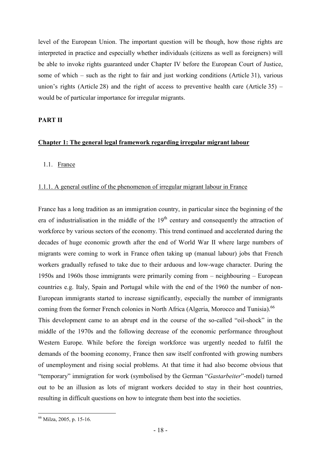level of the European Union. The important question will be though, how those rights are interpreted in practice and especially whether individuals (citizens as well as foreigners) will be able to invoke rights guaranteed under Chapter IV before the European Court of Justice, some of which – such as the right to fair and just working conditions (Article 31), various union's rights (Article 28) and the right of access to preventive health care (Article 35) – would be of particular importance for irregular migrants.

#### **PART II**

#### **Chapter 1: The general legal framework regarding irregular migrant labour**

#### 1.1. France

#### 1.1.1. A general outline of the phenomenon of irregular migrant labour in France

France has a long tradition as an immigration country, in particular since the beginning of the era of industrialisation in the middle of the  $19<sup>th</sup>$  century and consequently the attraction of workforce by various sectors of the economy. This trend continued and accelerated during the decades of huge economic growth after the end of World War II where large numbers of migrants were coming to work in France often taking up (manual labour) jobs that French workers gradually refused to take due to their arduous and low-wage character. During the 1950s and 1960s those immigrants were primarily coming from – neighbouring – European countries e.g. Italy, Spain and Portugal while with the end of the 1960 the number of non-European immigrants started to increase significantly, especially the number of immigrants coming from the former French colonies in North Africa (Algeria, Morocco and Tunisia).<sup>66</sup> This development came to an abrupt end in the course of the so-called "oil-shock" in the middle of the 1970s and the following decrease of the economic performance throughout Western Europe. While before the foreign workforce was urgently needed to fulfil the demands of the booming economy, France then saw itself confronted with growing numbers of unemployment and rising social problems. At that time it had also become obvious that "temporary" immigration for work (symbolised by the German "*Gastarbeiter*"-model) turned

out to be an illusion as lots of migrant workers decided to stay in their host countries, resulting in difficult questions on how to integrate them best into the societies.

<sup>66</sup> Milza, 2005, p. 15-16.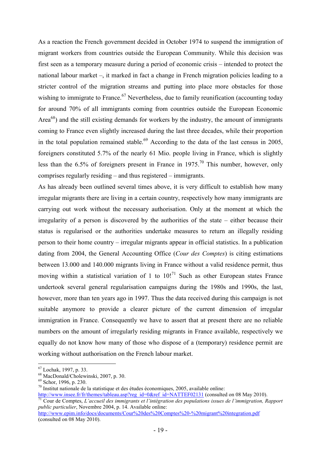As a reaction the French government decided in October 1974 to suspend the immigration of migrant workers from countries outside the European Community. While this decision was first seen as a temporary measure during a period of economic crisis – intended to protect the national labour market –, it marked in fact a change in French migration policies leading to a stricter control of the migration streams and putting into place more obstacles for those wishing to immigrate to France.<sup>67</sup> Nevertheless, due to family reunification (accounting today for around 70% of all immigrants coming from countries outside the European Economic Area<sup>68</sup>) and the still existing demands for workers by the industry, the amount of immigrants coming to France even slightly increased during the last three decades, while their proportion in the total population remained stable.<sup>69</sup> According to the data of the last census in 2005, foreigners constituted 5.7% of the nearly 61 Mio. people living in France, which is slightly less than the 6.5% of foreigners present in France in 1975.<sup>70</sup> This number, however, only comprises regularly residing – and thus registered – immigrants.

As has already been outlined several times above, it is very difficult to establish how many irregular migrants there are living in a certain country, respectively how many immigrants are carrying out work without the necessary authorisation. Only at the moment at which the irregularity of a person is discovered by the authorities of the state – either because their status is regularised or the authorities undertake measures to return an illegally residing person to their home country – irregular migrants appear in official statistics. In a publication dating from 2004, the General Accounting Office (*Cour des Comptes*) is citing estimations between 13.000 and 140.000 migrants living in France without a valid residence permit, thus moving within a statistical variation of 1 to  $10$ !<sup>71</sup> Such as other European states France undertook several general regularisation campaigns during the 1980s and 1990s, the last, however, more than ten years ago in 1997. Thus the data received during this campaign is not suitable anymore to provide a clearer picture of the current dimension of irregular immigration in France. Consequently we have to assert that at present there are no reliable numbers on the amount of irregularly residing migrants in France available, respectively we equally do not know how many of those who dispose of a (temporary) residence permit are working without authorisation on the French labour market.

<sup>67</sup> Lochak, 1997, p. 33.

<sup>68</sup> MacDonald/Cholewinski, 2007, p. 30.

<sup>69</sup> Schor, 1996, p. 230.

 $70$  Institut nationale de la statistique et des études économiques, 2005, available online:

http://www.insee.fr/fr/themes/tableau.asp?reg\_id=0&ref\_id=NATTEF02131 (consulted on 08 May 2010). <sup>71</sup> Cour de Comptes, *L'accueil des immigrants et l'intégration des populations issues de l'immigration, Rapport public particulier*, Novembre 2004, p. 14. Available online: http://www.epim.info/docs/documents/Cour%20des%20Comptes%20-%20migrant%20integration.pdf

<sup>(</sup>consulted on 08 May 2010).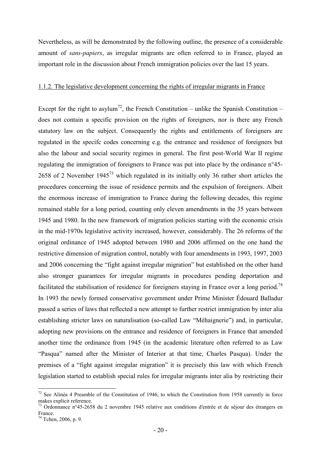Nevertheless, as will be demonstrated by the following outline, the presence of a considerable amount of *sans-papiers*, as irregular migrants are often referred to in France, played an important role in the discussion about French immigration policies over the last 15 years.

#### 1.1.2. The legislative development concerning the rights of irregular migrants in France

Except for the right to asylum<sup>72</sup>, the French Constitution – unlike the Spanish Constitution – does not contain a specific provision on the rights of foreigners, nor is there any French statutory law on the subject. Consequently the rights and entitlements of foreigners are regulated in the specifc codes concerning e.g. the entrance and residence of foreigners but also the labour and social security regimes in general. The first post-World War II regime regulating the immigration of foreigners to France was put into place by the ordinance n°45- 2658 of 2 November 1945<sup>73</sup> which regulated in its initially only 36 rather short articles the procedures concerning the issue of residence permits and the expulsion of foreigners. Albeit the enormous increase of immigration to France during the following decades, this regime remained stable for a long period, counting only eleven amendments in the 35 years between 1945 and 1980. In the new framework of migration policies starting with the economic crisis in the mid-1970s legislative activity increased, however, considerably. The 26 reforms of the original ordinance of 1945 adopted between 1980 and 2006 affirmed on the one hand the restrictive dimension of migration control, notably with four amendments in 1993, 1997, 2003 and 2006 concerning the "fight against irregular migration" but established on the other hand also stronger guarantees for irregular migrants in procedures pending deportation and facilitated the stabilisation of residence for foreigners staying in France over a long period.<sup>74</sup> In 1993 the newly formed conservative government under Prime Minister Édouard Balladur passed a series of laws that reflected a new attempt to further restrict immigration by inter alia establishing stricter laws on naturalisation (so-called Law "Méhaignerie") and, in particular, adopting new provisions on the entrance and residence of foreigners in France that amended another time the ordinance from 1945 (in the academic literature often referred to as Law "Pasqua" named after the Minister of Interior at that time, Charles Pasqua). Under the premises of a "fight against irregular migration" it is precisely this law with which French legislation started to establish special rules for irregular migrants inter alia by restricting their

 $72$  See Alinéa 4 Preamble of the Constitution of 1946, to which the Constitution from 1958 currently in force makes explicit reference.

 $73$  Ordonnance n°45-2658 du 2 novembre 1945 relative aux conditions d'entrée et de séjour des étrangers en France.

<sup>74</sup> Tchen, 2006, p. 9.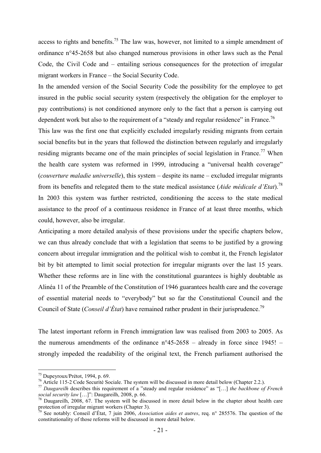access to rights and benefits.<sup>75</sup> The law was, however, not limited to a simple amendment of ordinance n°45-2658 but also changed numerous provisions in other laws such as the Penal Code, the Civil Code and – entailing serious consequences for the protection of irregular migrant workers in France – the Social Security Code.

In the amended version of the Social Security Code the possibility for the employee to get insured in the public social security system (respectively the obligation for the employer to pay contributions) is not conditioned anymore only to the fact that a person is carrying out dependent work but also to the requirement of a "steady and regular residence" in France.<sup>76</sup>

This law was the first one that explicitly excluded irregularly residing migrants from certain social benefits but in the years that followed the distinction between regularly and irregularly residing migrants became one of the main principles of social legislation in France.<sup>77</sup> When the health care system was reformed in 1999, introducing a "universal health coverage" (*couverture maladie universelle*), this system – despite its name – excluded irregular migrants from its benefits and relegated them to the state medical assistance (*Aide médicale d'Etat*).<sup>78</sup> In 2003 this system was further restricted, conditioning the access to the state medical assistance to the proof of a continuous residence in France of at least three months, which could, however, also be irregular.

Anticipating a more detailed analysis of these provisions under the specific chapters below, we can thus already conclude that with a legislation that seems to be justified by a growing concern about irregular immigration and the political wish to combat it, the French legislator bit by bit attempted to limit social protection for irregular migrants over the last 15 years. Whether these reforms are in line with the constitutional guarantees is highly doubtable as Alinéa 11 of the Preamble of the Constitution of 1946 guarantees health care and the coverage of essential material needs to "everybody" but so far the Constitutional Council and the Council of State (*Conseil d'État*) have remained rather prudent in their jurisprudence.<sup>79</sup>

The latest important reform in French immigration law was realised from 2003 to 2005. As the numerous amendments of the ordinance  $n^{\circ}45{\text -}2658$  – already in force since 1945! – strongly impeded the readability of the original text, the French parliament authorised the

<sup>75</sup> Dupeyroux/Prétot, 1994, p. 69.

<sup>&</sup>lt;sup>76</sup> Article 115-2 Code Securité Sociale. The system will be discussed in more detail below (Chapter 2.2.).

<sup>77</sup> *Daugareilh* describes this requirement of a "steady and regular residence" as "[…] *the backbone of French social security law* […]": Daugareilh, 2008, p. 66.

 $78$  Daugareilh, 2008, 67. The system will be discussed in more detail below in the chapter about health care protection of irregular migrant workers (Chapter 3).

<sup>79</sup> See notably: Conseil d'État, 7 juin 2006, *Association aides et autres*, req. n° 285576. The question of the constitutionality of those reforms will be discussed in more detail below.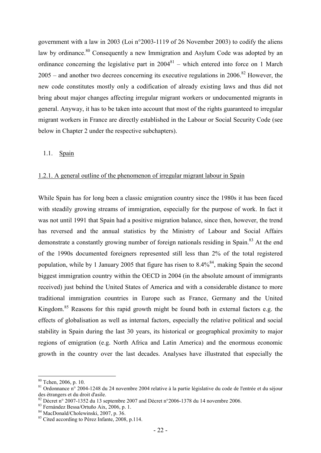government with a law in 2003 (Loi n°2003-1119 of 26 November 2003) to codify the aliens law by ordinance.<sup>80</sup> Consequently a new Immigration and Asylum Code was adopted by an ordinance concerning the legislative part in  $2004^{81}$  – which entered into force on 1 March  $2005$  – and another two decrees concerning its executive regulations in  $2006$ <sup>82</sup> However, the new code constitutes mostly only a codification of already existing laws and thus did not bring about major changes affecting irregular migrant workers or undocumented migrants in general. Anyway, it has to be taken into account that most of the rights guaranteed to irregular migrant workers in France are directly established in the Labour or Social Security Code (see below in Chapter 2 under the respective subchapters).

#### 1.1. Spain

#### 1.2.1. A general outline of the phenomenon of irregular migrant labour in Spain

While Spain has for long been a classic emigration country since the 1980s it has been faced with steadily growing streams of immigration, especially for the purpose of work. In fact it was not until 1991 that Spain had a positive migration balance, since then, however, the trend has reversed and the annual statistics by the Ministry of Labour and Social Affairs demonstrate a constantly growing number of foreign nationals residing in Spain.<sup>83</sup> At the end of the 1990s documented foreigners represented still less than 2% of the total registered population, while by 1 January 2005 that figure has risen to  $8.4\%$ <sup>84</sup>, making Spain the second biggest immigration country within the OECD in 2004 (in the absolute amount of immigrants received) just behind the United States of America and with a considerable distance to more traditional immigration countries in Europe such as France, Germany and the United Kingdom.<sup>85</sup> Reasons for this rapid growth might be found both in external factors e.g. the effects of globalisation as well as internal factors, especially the relative political and social stability in Spain during the last 30 years, its historical or geographical proximity to major regions of emigration (e.g. North Africa and Latin America) and the enormous economic growth in the country over the last decades. Analyses have illustrated that especially the

<sup>80</sup> Tchen, 2006, p. 10.

<sup>&</sup>lt;sup>81</sup> Ordonnance n° 2004-1248 du 24 novembre 2004 relative à la partie législative du code de l'entrée et du séjour des étrangers et du droit d'asile.

 $82$  Décret n° 2007-1352 du 13 septembre 2007 and Décret n°2006-1378 du 14 novembre 2006.

<sup>83</sup> Fernández Bessa/Ortuño Aix, 2006, p. 1.

 $84$  MacDonald/Cholewinski, 2007, p. 36.

<sup>&</sup>lt;sup>85</sup> Cited according to Pérez Infante, 2008, p.114.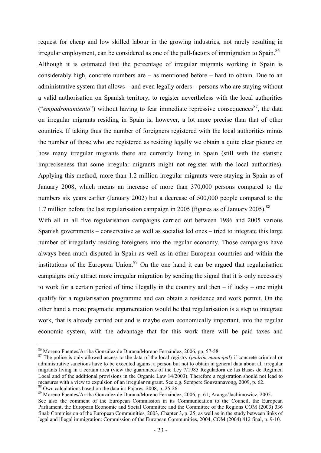request for cheap and low skilled labour in the growing industries, not rarely resulting in irregular employment, can be considered as one of the pull-factors of immigration to Spain.<sup>86</sup> Although it is estimated that the percentage of irregular migrants working in Spain is considerably high, concrete numbers are – as mentioned before – hard to obtain. Due to an administrative system that allows – and even legally orders – persons who are staying without a valid authorisation on Spanish territory, to register nevertheless with the local authorities ("*empadronamiento*") without having to fear immediate repressive consequences<sup>87</sup>, the data on irregular migrants residing in Spain is, however, a lot more precise than that of other countries. If taking thus the number of foreigners registered with the local authorities minus the number of those who are registered as residing legally we obtain a quite clear picture on how many irregular migrants there are currently living in Spain (still with the statistic impreciseness that some irregular migrants might not register with the local authorities). Applying this method, more than 1.2 million irregular migrants were staying in Spain as of January 2008, which means an increase of more than 370,000 persons compared to the numbers six years earlier (January 2002) but a decrease of 500,000 people compared to the 1.7 million before the last regularisation campaign in 2005 (figures as of January 2005).<sup>88</sup>

With all in all five regularisation campaigns carried out between 1986 and 2005 various Spanish governments – conservative as well as socialist led ones – tried to integrate this large number of irregularly residing foreigners into the regular economy. Those campaigns have always been much disputed in Spain as well as in other European countries and within the institutions of the European Union.<sup>89</sup> On the one hand it can be argued that regularisation campaigns only attract more irregular migration by sending the signal that it is only necessary to work for a certain period of time illegally in the country and then – if lucky – one might qualify for a regularisation programme and can obtain a residence and work permit. On the other hand a more pragmatic argumentation would be that regularisation is a step to integrate work, that is already carried out and is maybe even economically important, into the regular economic system, with the advantage that for this work there will be paid taxes and

<sup>-</sup><sup>86</sup> Moreno Fuentes/Arriba González de Durana/Moreno Fernández, 2006, pp. 57-58.

<sup>87</sup> The police is only allowed access to the data of the local registry (*padrón municipal*) if concrete criminal or administrative sanctions have to be executed against a person but not to obtain in general data about all irregular migrants living in a certain area (view the guarantees of the Ley 7/1985 Reguladora de las Bases de Régimen Local and of the additional provisions in the Organic Law 14/2003). Therefore a registration should not lead to measures with a view to expulsion of an irregular migrant. See e.g. Sempere Souvannavong, 2009, p. 62. <sup>88</sup> Own calculations based on the data in: Pajares, 2008, p. 25-26.

<sup>89</sup> Moreno Fuentes/Arriba González de Durana/Moreno Fernández, 2006, p. 61; Arango/Jachimowicz, 2005.

See also the comment of the European Commission in its Communication to the Council, the European Parliament, the European Economic and Social Committee and the Committee of the Regions COM (2003) 336 final: Commission of the European Communities, 2003, Chapter 3, p. 25; as well as in the study between links of legal and illegal immigration: Commission of the European Communities, 2004, COM (2004) 412 final, p. 9-10.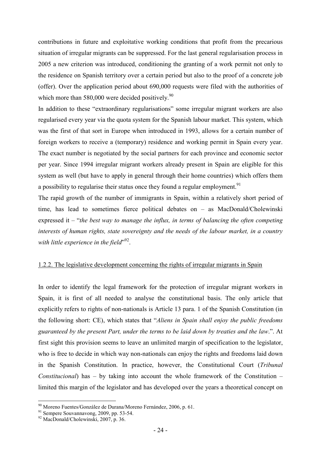contributions in future and exploitative working conditions that profit from the precarious situation of irregular migrants can be suppressed. For the last general regularisation process in 2005 a new criterion was introduced, conditioning the granting of a work permit not only to the residence on Spanish territory over a certain period but also to the proof of a concrete job (offer). Over the application period about 690,000 requests were filed with the authorities of which more than 580,000 were decided positively. $90$ 

In addition to these "extraordinary regularisations" some irregular migrant workers are also regularised every year via the quota system for the Spanish labour market. This system, which was the first of that sort in Europe when introduced in 1993, allows for a certain number of foreign workers to receive a (temporary) residence and working permit in Spain every year. The exact number is negotiated by the social partners for each province and economic sector per year. Since 1994 irregular migrant workers already present in Spain are eligible for this system as well (but have to apply in general through their home countries) which offers them a possibility to regularise their status once they found a regular employment.<sup>91</sup>

The rapid growth of the number of immigrants in Spain, within a relatively short period of time, has lead to sometimes fierce political debates on – as MacDonald/Cholewinski expressed it – "*the best way to manage the influx, in terms of balancing the often competing interests of human rights, state sovereignty and the needs of the labour market, in a country*  with little experience in the field<sup>",92</sup>.

#### 1.2.2. The legislative development concerning the rights of irregular migrants in Spain

In order to identify the legal framework for the protection of irregular migrant workers in Spain, it is first of all needed to analyse the constitutional basis. The only article that explicitly refers to rights of non-nationals is Article 13 para. 1 of the Spanish Constitution (in the following short: CE), which states that "*Aliens in Spain shall enjoy the public freedoms guaranteed by the present Part, under the terms to be laid down by treaties and the law*.". At first sight this provision seems to leave an unlimited margin of specification to the legislator, who is free to decide in which way non-nationals can enjoy the rights and freedoms laid down in the Spanish Constitution. In practice, however, the Constitutional Court (*Tribunal Constitucional*) has – by taking into account the whole framework of the Constitution – limited this margin of the legislator and has developed over the years a theoretical concept on

<sup>90</sup> Moreno Fuentes/González de Durana/Moreno Fernández, 2006, p. 61.

<sup>91</sup> Sempere Souvannavong, 2009, pp. 53-54.

<sup>92</sup> MacDonald/Cholewinski, 2007, p. 36.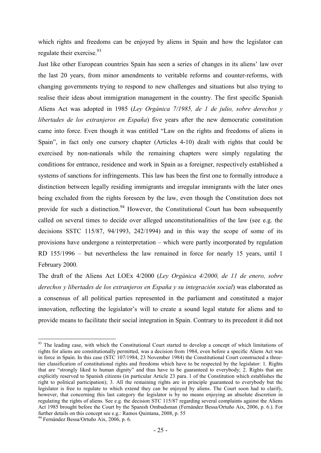which rights and freedoms can be enjoyed by aliens in Spain and how the legislator can regulate their exercise.<sup>93</sup>

Just like other European countries Spain has seen a series of changes in its aliens' law over the last 20 years, from minor amendments to veritable reforms and counter-reforms, with changing governments trying to respond to new challenges and situations but also trying to realise their ideas about immigration management in the country. The first specific Spanish Aliens Act was adopted in 1985 (*Ley Orgánica 7/1985, de 1 de julio, sobre derechos y libertades de los extranjeros en España*) five years after the new democratic constitution came into force. Even though it was entitled "Law on the rights and freedoms of aliens in Spain", in fact only one cursory chapter (Articles 4-10) dealt with rights that could be exercised by non-nationals while the remaining chapters were simply regulating the conditions for entrance, residence and work in Spain as a foreigner, respectively established a systems of sanctions for infringements. This law has been the first one to formally introduce a distinction between legally residing immigrants and irregular immigrants with the later ones being excluded from the rights foreseen by the law, even though the Constitution does not provide for such a distinction.<sup>94</sup> However, the Constitutional Court has been subsequently called on several times to decide over alleged unconstitutionalities of the law (see e.g. the decisions SSTC 115/87, 94/1993, 242/1994) and in this way the scope of some of its provisions have undergone a reinterpretation – which were partly incorporated by regulation RD 155/1996 – but nevertheless the law remained in force for nearly 15 years, until 1 February 2000.

The draft of the Aliens Act LOEx 4/2000 (*Ley Orgánica 4/2000, de 11 de enero, sobre derechos y libertades de los extranjeros en España y su integración social*) was elaborated as a consensus of all political parties represented in the parliament and constituted a major innovation, reflecting the legislator's will to create a sound legal statute for aliens and to provide means to facilitate their social integration in Spain. Contrary to its precedent it did not

<sup>&</sup>lt;u>.</u> <sup>93</sup> The leading case, with which the Constitutional Court started to develop a concept of which limitations of rights for aliens are constitutionally permitted, was a decision from 1984, even before a specific Aliens Act was in force in Spain. In this case (STC 107/1984, 23 November 1984) the Constitutional Court constructed a threetier classification of constitutional rights and freedoms which have to be respected by the legislator: 1. Rights that are "strongly liked to human dignity" and thus have to be guaranteed to everybody; 2. Rights that are explicitly reserved to Spanish citizens (in particular Article 23 para. 1 of the Constitution which establishes the right to political participation); 3. All the remaining rights are in principle guaranteed to everybody but the legislator is free to regulate to which extend they can be enjoyed by aliens. The Court soon had to clarify, however, that concerning this last category the legislator is by no means enjoying an absolute discretion in regulating the rights of aliens. See e.g. the decision STC 115/87 regarding several complaints against the Aliens Act 1985 brought before the Court by the Spanish Ombudsman (Fernández Bessa/Ortuño Aix, 2006, p. 6.). For further details on this concept see e.g.: Ramos Quintana, 2008, p. 55

<sup>94</sup> Fernández Bessa/Ortuño Aix, 2006, p. 6.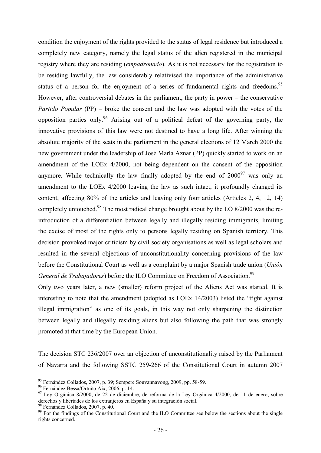condition the enjoyment of the rights provided to the status of legal residence but introduced a completely new category, namely the legal status of the alien registered in the municipal registry where they are residing (*empadronado*). As it is not necessary for the registration to be residing lawfully, the law considerably relativised the importance of the administrative status of a person for the enjoyment of a series of fundamental rights and freedoms.<sup>95</sup> However, after controversial debates in the parliament, the party in power – the conservative *Partido Popular* (PP) – broke the consent and the law was adopted with the votes of the opposition parties only.<sup>96</sup> Arising out of a political defeat of the governing party, the innovative provisions of this law were not destined to have a long life. After winning the absolute majority of the seats in the parliament in the general elections of 12 March 2000 the new government under the leadership of José María Aznar (PP) quickly started to work on an amendment of the LOEx 4/2000, not being dependent on the consent of the opposition anymore. While technically the law finally adopted by the end of  $2000^{97}$  was only an amendment to the LOEx 4/2000 leaving the law as such intact, it profoundly changed its content, affecting 80% of the articles and leaving only four articles (Articles 2, 4, 12, 14) completely untouched.<sup>98</sup> The most radical change brought about by the LO  $8/2000$  was the reintroduction of a differentiation between legally and illegally residing immigrants, limiting the excise of most of the rights only to persons legally residing on Spanish territory. This decision provoked major criticism by civil society organisations as well as legal scholars and resulted in the several objections of unconstitutionality concerning provisions of the law before the Constitutional Court as well as a complaint by a major Spanish trade union (*Unión General de Trabajadores*) before the ILO Committee on Freedom of Association.<sup>99</sup>

Only two years later, a new (smaller) reform project of the Aliens Act was started. It is interesting to note that the amendment (adopted as LOEx 14/2003) listed the "fight against illegal immigration" as one of its goals, in this way not only sharpening the distinction between legally and illegally residing aliens but also following the path that was strongly promoted at that time by the European Union.

The decision STC 236/2007 over an objection of unconstitutionality raised by the Parliament of Navarra and the following SSTC 259-266 of the Constitutional Court in autumn 2007

<sup>&</sup>lt;sup>95</sup> Fernández Collados, 2007, p. 39; Sempere Souvannavong, 2009, pp. 58-59.

<sup>96</sup> Fernández Bessa/Ortuño Aix, 2006, p. 14.

<sup>&</sup>lt;sup>97</sup> Ley Orgánica 8/2000, de 22 de diciembre, de reforma de la Ley Orgánica 4/2000, de 11 de enero, sobre derechos y libertades de los extranjeros en España y su integración social.

<sup>98</sup> Fernández Collados, 2007, p. 40.

<sup>&</sup>lt;sup>99</sup> For the findings of the Constitutional Court and the ILO Committee see below the sections about the single rights concerned.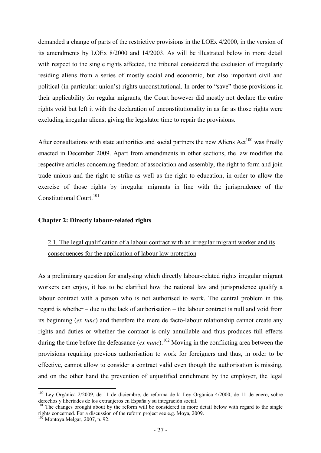demanded a change of parts of the restrictive provisions in the LOEx 4/2000, in the version of its amendments by LOEx 8/2000 and 14/2003. As will be illustrated below in more detail with respect to the single rights affected, the tribunal considered the exclusion of irregularly residing aliens from a series of mostly social and economic, but also important civil and political (in particular: union's) rights unconstitutional. In order to "save" those provisions in their applicability for regular migrants, the Court however did mostly not declare the entire rights void but left it with the declaration of unconstitutionality in as far as those rights were excluding irregular aliens, giving the legislator time to repair the provisions.

After consultations with state authorities and social partners the new Aliens  $Act^{100}$  was finally enacted in December 2009. Apart from amendments in other sections, the law modifies the respective articles concerning freedom of association and assembly, the right to form and join trade unions and the right to strike as well as the right to education, in order to allow the exercise of those rights by irregular migrants in line with the jurisprudence of the Constitutional Court.<sup>101</sup>

#### **Chapter 2: Directly labour-related rights**

## 2.1. The legal qualification of a labour contract with an irregular migrant worker and its consequences for the application of labour law protection

As a preliminary question for analysing which directly labour-related rights irregular migrant workers can enjoy, it has to be clarified how the national law and jurisprudence qualify a labour contract with a person who is not authorised to work. The central problem in this regard is whether – due to the lack of authorisation – the labour contract is null and void from its beginning (*ex tunc*) and therefore the mere de facto-labour relationship cannot create any rights and duties or whether the contract is only annullable and thus produces full effects during the time before the defeasance (*ex nunc*).<sup>102</sup> Moving in the conflicting area between the provisions requiring previous authorisation to work for foreigners and thus, in order to be effective, cannot allow to consider a contract valid even though the authorisation is missing, and on the other hand the prevention of unjustified enrichment by the employer, the legal

<sup>-</sup><sup>100</sup> Ley Orgánica 2/2009, de 11 de diciembre, de reforma de la Ley Orgánica 4/2000, de 11 de enero, sobre derechos y libertades de los extranjeros en España y su integración social.

<sup>&</sup>lt;sup>101</sup> The changes brought about by the reform will be considered in more detail below with regard to the single rights concerned. For a discussion of the reform project see e.g. Moya, 2009.

 $102$  Montoya Melgar, 2007, p. 92.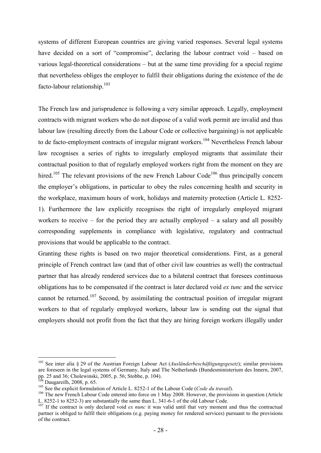systems of different European countries are giving varied responses. Several legal systems have decided on a sort of "compromise", declaring the labour contract void – based on various legal-theoretical considerations – but at the same time providing for a special regime that nevertheless obliges the employer to fulfil their obligations during the existence of the de facto-labour relationship.<sup>103</sup>

The French law and jurisprudence is following a very similar approach. Legally, employment contracts with migrant workers who do not dispose of a valid work permit are invalid and thus labour law (resulting directly from the Labour Code or collective bargaining) is not applicable to de facto-employment contracts of irregular migrant workers.<sup>104</sup> Nevertheless French labour law recognises a series of rights to irregularly employed migrants that assimilate their contractual position to that of regularly employed workers right from the moment on they are hired.<sup>105</sup> The relevant provisions of the new French Labour Code<sup>106</sup> thus principally concern the employer's obligations, in particular to obey the rules concerning health and security in the workplace, maximum hours of work, holidays and maternity protection (Article L. 8252- 1). Furthermore the law explicitly recognises the right of irregularly employed migrant workers to receive – for the period they are actually employed – a salary and all possibly corresponding supplements in compliance with legislative, regulatory and contractual provisions that would be applicable to the contract.

Granting these rights is based on two major theoretical considerations. First, as a general principle of French contract law (and that of other civil law countries as well) the contractual partner that has already rendered services due to a bilateral contract that foresees continuous obligations has to be compensated if the contract is later declared void *ex tunc* and the service cannot be returned.<sup>107</sup> Second, by assimilating the contractual position of irregular migrant workers to that of regularly employed workers, labour law is sending out the signal that employers should not profit from the fact that they are hiring foreign workers illegally under

<sup>&</sup>lt;u>.</u> <sup>103</sup> See inter alia § 29 of the Austrian Foreign Labour Act (*Ausländerbeschäftigungsgesetz*); similar provisions are foreseen in the legal systems of Germany, Italy and The Netherlands (Bundesministerium des Innern, 2007, pp. 25 and 36; Cholewinski, 2005, p. 56; Stobbe, p. 104).

Daugareilh, 2008, p. 65.

<sup>&</sup>lt;sup>105</sup> See the explicit formulation of Article L. 8252-1 of the Labour Code (*Code du travail*).

<sup>&</sup>lt;sup>106</sup> The new French Labour Code entered into force on 1 May 2008. However, the provisions in question (Article L. 8252-1 to 8252-3) are substantially the same than L. 341-6-1 of the old Labour Code.

<sup>&</sup>lt;sup>107</sup> If the contract is only declared void *ex nunc* it was valid until that very moment and thus the contractual partner is obliged to fulfil their obligations (e.g. paying money for rendered services) pursuant to the provisions of the contract.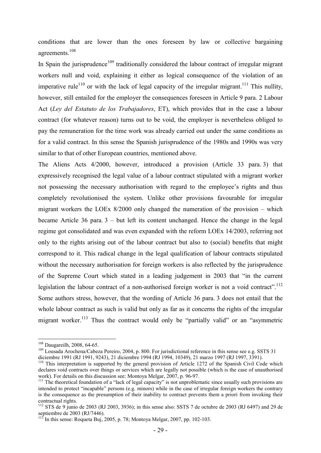conditions that are lower than the ones foreseen by law or collective bargaining agreements.<sup>108</sup>

In Spain the jurisprudence<sup>109</sup> traditionally considered the labour contract of irregular migrant workers null and void, explaining it either as logical consequence of the violation of an imperative rule<sup>110</sup> or with the lack of legal capacity of the irregular migrant.<sup>111</sup> This nullity, however, still entailed for the employer the consequences foreseen in Article 9 para. 2 Labour Act (*Ley del Estatuto de los Trabajadores*, ET), which provides that in the case a labour contract (for whatever reason) turns out to be void, the employer is nevertheless obliged to pay the remuneration for the time work was already carried out under the same conditions as for a valid contract. In this sense the Spanish jurisprudence of the 1980s and 1990s was very similar to that of other European countries, mentioned above.

The Aliens Acts 4/2000, however, introduced a provision (Article 33 para. 3) that expressively recognised the legal value of a labour contract stipulated with a migrant worker not possessing the necessary authorisation with regard to the employee's rights and thus completely revolutionised the system. Unlike other provisions favourable for irregular migrant workers the LOEx 8/2000 only changed the numeration of the provision – which became Article 36 para. 3 – but left its content unchanged. Hence the change in the legal regime got consolidated and was even expanded with the reform LOEx 14/2003, referring not only to the rights arising out of the labour contract but also to (social) benefits that might correspond to it. This radical change in the legal qualification of labour contracts stipulated without the necessary authorisation for foreign workers is also reflected by the jurisprudence of the Supreme Court which stated in a leading judgement in 2003 that "in the current legislation the labour contract of a non-authorised foreign worker is not a void contract".<sup>112</sup> Some authors stress, however, that the wording of Article 36 para. 3 does not entail that the whole labour contract as such is valid but only as far as it concerns the rights of the irregular migrant worker.<sup>113</sup> Thus the contract would only be "partially valid" or an "asymmetric

<sup>&</sup>lt;sup>108</sup> Daugareilh, 2008, 64-65.

<sup>&</sup>lt;sup>109</sup> Lousada Arochena/Cabeza Pereiro, 2004, p. 800. For jurisdictional reference in this sense see e.g. SSTS 31 diciembre 1991 (RJ 1991, 9243), 21 diciembre 1994 (RJ 1994, 10349), 21 marzo 1997 (RJ 1997, 3391).

<sup>&</sup>lt;sup>110</sup> This interpretation is supported by the general provision of Article 1272 of the Spanish Civil Code which declares void contracts over things or services which are legally not possible (which is the case of unauthorised work). For details on this discussion see: Montoya Melgar, 2007, p. 96-97.

<sup>&</sup>lt;sup>111</sup> The theoretical foundation of a "lack of legal capacity" is not unproblematic since usually such provisions are intended to protect "incapable" persons (e.g. minors) while in the case of irregular foreign workers the contrary is the consequence as the presumption of their inability to contract prevents them a priori from invoking their contractual rights.

<sup>&</sup>lt;sup>112</sup> STS de 9 junio de 2003 (RJ 2003, 3936); in this sense also: SSTS 7 de octubre de 2003 (RJ 6497) and 29 de septiembre de 2003 (RJ/7446).

<sup>&</sup>lt;sup>113</sup> In this sense: Roqueta Buj, 2005, p. 78; Montoya Melgar, 2007, pp. 102-103.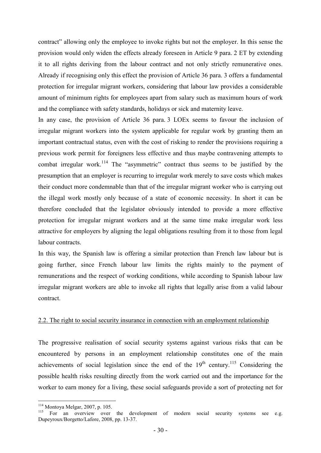contract" allowing only the employee to invoke rights but not the employer. In this sense the provision would only widen the effects already foreseen in Article 9 para. 2 ET by extending it to all rights deriving from the labour contract and not only strictly remunerative ones. Already if recognising only this effect the provision of Article 36 para. 3 offers a fundamental protection for irregular migrant workers, considering that labour law provides a considerable amount of minimum rights for employees apart from salary such as maximum hours of work and the compliance with safety standards, holidays or sick and maternity leave.

In any case, the provision of Article 36 para. 3 LOEx seems to favour the inclusion of irregular migrant workers into the system applicable for regular work by granting them an important contractual status, even with the cost of risking to render the provisions requiring a previous work permit for foreigners less effective and thus maybe contravening attempts to combat irregular work.<sup>114</sup> The "asymmetric" contract thus seems to be justified by the presumption that an employer is recurring to irregular work merely to save costs which makes their conduct more condemnable than that of the irregular migrant worker who is carrying out the illegal work mostly only because of a state of economic necessity. In short it can be therefore concluded that the legislator obviously intended to provide a more effective protection for irregular migrant workers and at the same time make irregular work less attractive for employers by aligning the legal obligations resulting from it to those from legal labour contracts.

In this way, the Spanish law is offering a similar protection than French law labour but is going further, since French labour law limits the rights mainly to the payment of remunerations and the respect of working conditions, while according to Spanish labour law irregular migrant workers are able to invoke all rights that legally arise from a valid labour contract.

#### 2.2. The right to social security insurance in connection with an employment relationship

The progressive realisation of social security systems against various risks that can be encountered by persons in an employment relationship constitutes one of the main achievements of social legislation since the end of the  $19<sup>th</sup>$  century.<sup>115</sup> Considering the possible health risks resulting directly from the work carried out and the importance for the worker to earn money for a living, these social safeguards provide a sort of protecting net for

<sup>114</sup> Montoya Melgar, 2007, p. 105.

<sup>115</sup> For an overview over the development of modern social security systems see e.g. Dupeyroux/Borgetto/Lafore, 2008, pp. 13-37.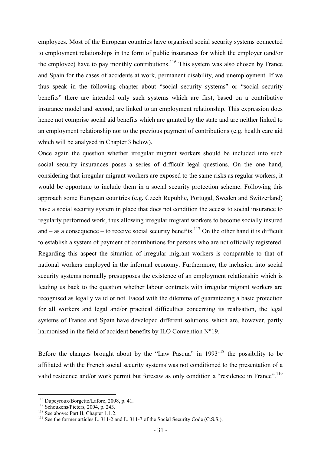employees. Most of the European countries have organised social security systems connected to employment relationships in the form of public insurances for which the employer (and/or the employee) have to pay monthly contributions.<sup>116</sup> This system was also chosen by France and Spain for the cases of accidents at work, permanent disability, and unemployment. If we thus speak in the following chapter about "social security systems" or "social security benefits" there are intended only such systems which are first, based on a contributive insurance model and second, are linked to an employment relationship. This expression does hence not comprise social aid benefits which are granted by the state and are neither linked to an employment relationship nor to the previous payment of contributions (e.g. health care aid which will be analysed in Chapter 3 below).

Once again the question whether irregular migrant workers should be included into such social security insurances poses a series of difficult legal questions. On the one hand, considering that irregular migrant workers are exposed to the same risks as regular workers, it would be opportune to include them in a social security protection scheme. Following this approach some European countries (e.g. Czech Republic, Portugal, Sweden and Switzerland) have a social security system in place that does not condition the access to social insurance to regularly performed work, thus allowing irregular migrant workers to become socially insured and – as a consequence – to receive social security benefits.<sup>117</sup> On the other hand it is difficult to establish a system of payment of contributions for persons who are not officially registered. Regarding this aspect the situation of irregular migrant workers is comparable to that of national workers employed in the informal economy. Furthermore, the inclusion into social security systems normally presupposes the existence of an employment relationship which is leading us back to the question whether labour contracts with irregular migrant workers are recognised as legally valid or not. Faced with the dilemma of guaranteeing a basic protection for all workers and legal and/or practical difficulties concerning its realisation, the legal systems of France and Spain have developed different solutions, which are, however, partly harmonised in the field of accident benefits by ILO Convention N°19.

Before the changes brought about by the "Law Pasqua" in  $1993<sup>118</sup>$  the possibility to be affiliated with the French social security systems was not conditioned to the presentation of a valid residence and/or work permit but foresaw as only condition a "residence in France".<sup>119</sup>

<sup>116</sup> Dupeyroux/Borgetto/Lafore, 2008, p. 41.

 $117$  Schoukens/Pieters, 2004, p. 243.

<sup>&</sup>lt;sup>118</sup> See above: Part II, Chapter 1.1.2.

<sup>119</sup> See the former articles L. 311-2 and L. 311-7 of the Social Security Code (C.S.S*.*).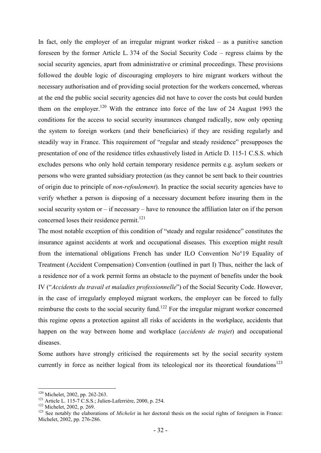In fact, only the employer of an irregular migrant worker risked – as a punitive sanction foreseen by the former Article L. 374 of the Social Security Code – regress claims by the social security agencies, apart from administrative or criminal proceedings. These provisions followed the double logic of discouraging employers to hire migrant workers without the necessary authorisation and of providing social protection for the workers concerned, whereas at the end the public social security agencies did not have to cover the costs but could burden them on the employer.<sup>120</sup> With the entrance into force of the law of 24 August 1993 the conditions for the access to social security insurances changed radically, now only opening the system to foreign workers (and their beneficiaries) if they are residing regularly and steadily way in France. This requirement of "regular and steady residence" presupposes the presentation of one of the residence titles exhaustively listed in Article D. 115-1 C.S.S. which excludes persons who only hold certain temporary residence permits e.g. asylum seekers or persons who were granted subsidiary protection (as they cannot be sent back to their countries of origin due to principle of *non-refoulement*). In practice the social security agencies have to verify whether a person is disposing of a necessary document before insuring them in the social security system or – if necessary – have to renounce the affiliation later on if the person concerned loses their residence permit.<sup>121</sup>

The most notable exception of this condition of "steady and regular residence" constitutes the insurance against accidents at work and occupational diseases. This exception might result from the international obligations French has under ILO Convention No°19 Equality of Treatment (Accident Compensation) Convention (outlined in part I) Thus, neither the lack of a residence nor of a work permit forms an obstacle to the payment of benefits under the book IV ("*Accidents du travail et maladies professionnelle*") of the Social Security Code. However, in the case of irregularly employed migrant workers, the employer can be forced to fully reimburse the costs to the social security fund.<sup>122</sup> For the irregular migrant worker concerned this regime opens a protection against all risks of accidents in the workplace, accidents that happen on the way between home and workplace (*accidents de trajet*) and occupational diseases.

Some authors have strongly criticised the requirements set by the social security system currently in force as neither logical from its teleological nor its theoretical foundations<sup>123</sup>

<sup>120</sup> Michelet, 2002, pp. 262-263.

<sup>121</sup> Article L. 115-7 C.S.S.; Julien-Laferrière, 2000, p. 254.

<sup>&</sup>lt;sup>122</sup> Michelet, 2002, p. 269.

<sup>&</sup>lt;sup>123</sup> See notably the elaborations of *Michelet* in her doctoral thesis on the social rights of foreigners in France: Michelet, 2002, pp. 276-286.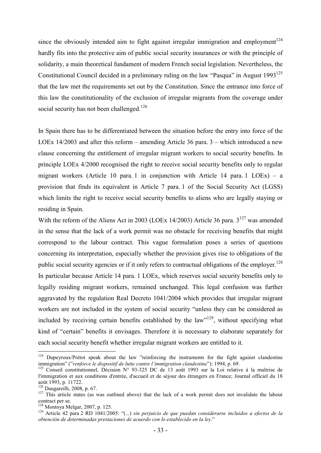since the obviously intended aim to fight against irregular immigration and employment<sup>124</sup> hardly fits into the protective aim of public social security insurances or with the principle of solidarity, a main theoretical fundament of modern French social legislation. Nevertheless, the Constitutional Council decided in a preliminary ruling on the law "Pasqua" in August  $1993^{125}$ that the law met the requirements set out by the Constitution. Since the entrance into force of this law the constitutionality of the exclusion of irregular migrants from the coverage under social security has not been challenged.<sup>126</sup>

In Spain there has to be differentiated between the situation before the entry into force of the LOEx 14/2003 and after this reform – amending Article 36 para. 3 – which introduced a new clause concerning the entitlement of irregular migrant workers to social security benefits. In principle LOEx 4/2000 recognised the right to receive social security benefits only to regular migrant workers (Article 10 para. 1 in conjunction with Article 14 para. 1 LOEx) – a provision that finds its equivalent in Article 7 para. 1 of the Social Security Act (LGSS) which limits the right to receive social security benefits to aliens who are legally staying or residing in Spain.

With the reform of the Aliens Act in 2003 (LOEx 14/2003) Article 36 para. 3<sup>127</sup> was amended in the sense that the lack of a work permit was no obstacle for receiving benefits that might correspond to the labour contract. This vague formulation poses a series of questions concerning its interpretation, especially whether the provision gives rise to obligations of the public social security agencies or if it only refers to contractual obligations of the employer.<sup>128</sup> In particular because Article 14 para. 1 LOEx, which reserves social security benefits only to legally residing migrant workers, remained unchanged. This legal confusion was further aggravated by the regulation Real Decreto 1041/2004 which provides that irregular migrant workers are not included in the system of social security "unless they can be considered as included by receiving certain benefits established by the  $law^{129}$ , without specifying what kind of "certain" benefits it envisages. Therefore it is necessary to elaborate separately for each social security benefit whether irregular migrant workers are entitled to it.

<sup>&</sup>lt;sup>124</sup> Dupeyroux/Prétot speak about the law "reinforcing the instruments for the fight against clandestine immigration" ("*renforce le dispositif de lutte contre l'immigration clandestine*"): 1994, p. 69.

<sup>125</sup> Conseil constitutionnel, Décision N° 93-325 DC de 13 août 1993 sur la Loi relative à la maîtrise de l'immigration et aux conditions d'entrée, d'accueil et de séjour des étrangers en France; Journal officiel du 18 août 1993, p. 11722.

<sup>126</sup> Daugareilh, 2008, p. 67.

<sup>&</sup>lt;sup>127</sup> This article states (as was outlined above) that the lack of a work permit does not invalidate the labour contract per se.

<sup>128</sup> Montoya Melgar, 2007, p. 125.

<sup>129</sup> Article 42 para 2 RD 1041/2005: "(...) *sin perjuicio de que puedan considerarse incluidos a efectos de la obtención de determinadas prestaciones de acuerdo con lo establecido en la ley*."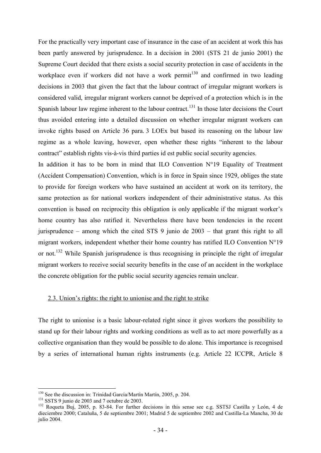For the practically very important case of insurance in the case of an accident at work this has been partly answered by jurisprudence. In a decision in 2001 (STS 21 de junio 2001) the Supreme Court decided that there exists a social security protection in case of accidents in the workplace even if workers did not have a work permit<sup>130</sup> and confirmed in two leading decisions in 2003 that given the fact that the labour contract of irregular migrant workers is considered valid, irregular migrant workers cannot be deprived of a protection which is in the Spanish labour law regime inherent to the labour contract.<sup>131</sup> In those later decisions the Court thus avoided entering into a detailed discussion on whether irregular migrant workers can invoke rights based on Article 36 para. 3 LOEx but based its reasoning on the labour law regime as a whole leaving, however, open whether these rights "inherent to the labour contract" establish rights vis-à-vis third parties id est public social security agencies.

In addition it has to be born in mind that ILO Convention  $N^{\circ}19$  Equality of Treatment (Accident Compensation) Convention, which is in force in Spain since 1929, obliges the state to provide for foreign workers who have sustained an accident at work on its territory, the same protection as for national workers independent of their administrative status. As this convention is based on reciprocity this obligation is only applicable if the migrant worker's home country has also ratified it. Nevertheless there have been tendencies in the recent jurisprudence – among which the cited STS 9 junio de 2003 – that grant this right to all migrant workers, independent whether their home country has ratified ILO Convention N°19 or not.<sup>132</sup> While Spanish jurisprudence is thus recognising in principle the right of irregular migrant workers to receive social security benefits in the case of an accident in the workplace the concrete obligation for the public social security agencies remain unclear.

#### 2.3. Union's rights: the right to unionise and the right to strike

The right to unionise is a basic labour-related right since it gives workers the possibility to stand up for their labour rights and working conditions as well as to act more powerfully as a collective organisation than they would be possible to do alone. This importance is recognised by a series of international human rights instruments (e.g. Article 22 ICCPR, Article 8

<sup>&</sup>lt;sup>130</sup> See the discussion in: Trinidad García/Martín Martín, 2005, p. 204.

<sup>&</sup>lt;sup>131</sup> SSTS 9 junio de 2003 and 7 octubre de 2003.

<sup>&</sup>lt;sup>132</sup> Roqueta Buj, 2005, p. 83-84. For further decisions in this sense see e.g. SSTSJ Castilla y León, 4 de dieciembre 2000; Cataluña, 5 de septiembre 2001; Madrid 5 de septiembre 2002 and Castilla-La Mancha, 30 de julio 2004.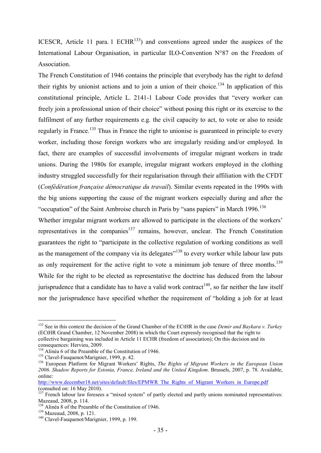ICESCR, Article 11 para. 1 ECHR $^{133}$ ) and conventions agreed under the auspices of the International Labour Organisation, in particular ILO-Convention N°87 on the Freedom of **Association** 

The French Constitution of 1946 contains the principle that everybody has the right to defend their rights by unionist actions and to join a union of their choice.<sup>134</sup> In application of this constitutional principle, Article L. 2141-1 Labour Code provides that "every worker can freely join a professional union of their choice" without posing this right or its exercise to the fulfilment of any further requirements e.g. the civil capacity to act, to vote or also to reside regularly in France.<sup>135</sup> Thus in France the right to unionise is guaranteed in principle to every worker, including those foreign workers who are irregularly residing and/or employed. In fact, there are examples of successful involvements of irregular migrant workers in trade unions. During the 1980s for example, irregular migrant workers employed in the clothing industry struggled successfully for their regularisation through their affiliation with the CFDT (*Confédération française démocratique du travail*). Similar events repeated in the 1990s with the big unions supporting the cause of the migrant workers especially during and after the "occupation" of the Saint Ambroise church in Paris by "sans papiers" in March 1996.<sup>136</sup>

Whether irregular migrant workers are allowed to participate in the elections of the workers' representatives in the companies $137$  remains, however, unclear. The French Constitution guarantees the right to "participate in the collective regulation of working conditions as well as the management of the company via its delegates<sup>"138</sup> to every worker while labour law puts as only requirement for the active right to vote a minimum job tenure of three months.<sup>139</sup> While for the right to be elected as representative the doctrine has deduced from the labour jurisprudence that a candidate has to have a valid work contract<sup>140</sup>, so far neither the law itself nor the jurisprudence have specified whether the requirement of "holding a job for at least

<sup>133</sup> See in this context the decision of the Grand Chamber of the ECtHR in the case *Demir and Baykara v. Turkey*  (ECtHR Grand Chamber, 12 November 2008) in which the Court expressly recognised that the right to collective bargaining was included in Article 11 ECHR (freedom of association); On this decision and its consequences: Hervieu, 2009.

<sup>&</sup>lt;sup>134</sup> Alinéa 6 of the Preamble of the Constitution of 1946.

<sup>&</sup>lt;sup>135</sup> Clavel-Fauquenot/Marignier, 1999, p. 42.

<sup>136</sup> European Platform for Migrant Workers' Rights, *The Rights of Migrant Workers in the European Union 2006. Shadow Reports for Estonia, France, Ireland and the United Kingdom*. Brussels, 2007, p. 78. Available, online:

http://www.december18.net/sites/default/files/EPMWR\_The\_Rights\_of\_Migrant\_Workers\_in\_Europe.pdf (consulted on: 16 May 2010).

<sup>&</sup>lt;sup>137</sup> French labour law foresees a "mixed system" of partly elected and partly unions nominated representatives: Mazeaud, 2008, p. 114.

<sup>138</sup> Alinéa 8 of the Preamble of the Constitution of 1946.

<sup>139</sup> Mazeaud, 2008, p. 121.

<sup>140</sup> Clavel-Fauquenot/Marignier, 1999, p. 199.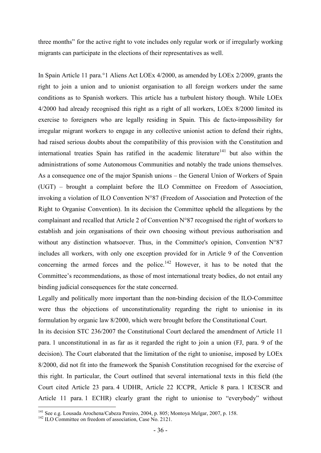three months" for the active right to vote includes only regular work or if irregularly working migrants can participate in the elections of their representatives as well.

In Spain Article 11 para.°1 Aliens Act LOEx 4/2000, as amended by LOEx 2/2009, grants the right to join a union and to unionist organisation to all foreign workers under the same conditions as to Spanish workers. This article has a turbulent history though. While LOEx 4/2000 had already recognised this right as a right of all workers, LOEx 8/2000 limited its exercise to foreigners who are legally residing in Spain. This de facto-impossibility for irregular migrant workers to engage in any collective unionist action to defend their rights, had raised serious doubts about the compatibility of this provision with the Constitution and international treaties Spain has ratified in the academic literature<sup>141</sup> but also within the administrations of some Autonomous Communities and notably the trade unions themselves. As a consequence one of the major Spanish unions – the General Union of Workers of Spain (UGT) – brought a complaint before the ILO Committee on Freedom of Association, invoking a violation of ILO Convention N°87 (Freedom of Association and Protection of the Right to Organise Convention). In its decision the Committee upheld the allegations by the complainant and recalled that Article 2 of Convention N°87 recognised the right of workers to establish and join organisations of their own choosing without previous authorisation and without any distinction whatsoever. Thus, in the Committee's opinion, Convention N°87 includes all workers, with only one exception provided for in Article 9 of the Convention concerning the armed forces and the police.<sup>142</sup> However, it has to be noted that the Committee's recommendations, as those of most international treaty bodies, do not entail any binding judicial consequences for the state concerned.

Legally and politically more important than the non-binding decision of the ILO-Committee were thus the objections of unconstitutionality regarding the right to unionise in its formulation by organic law 8/2000, which were brought before the Constitutional Court.

In its decision STC 236/2007 the Constitutional Court declared the amendment of Article 11 para. 1 unconstitutional in as far as it regarded the right to join a union (FJ, para. 9 of the decision). The Court elaborated that the limitation of the right to unionise, imposed by LOEx 8/2000, did not fit into the framework the Spanish Constitution recognised for the exercise of this right. In particular, the Court outlined that several international texts in this field (the Court cited Article 23 para. 4 UDHR, Article 22 ICCPR, Article 8 para. 1 ICESCR and Article 11 para. 1 ECHR) clearly grant the right to unionise to "everybody" without

<sup>&</sup>lt;sup>141</sup> See e.g. Lousada Arochena/Cabeza Pereiro, 2004, p. 805; Montoya Melgar, 2007, p. 158.

<sup>&</sup>lt;sup>142</sup> ILO Committee on freedom of association, Case No. 2121.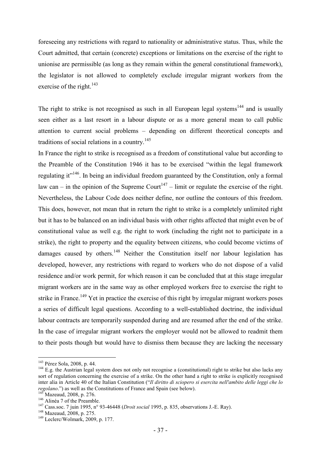foreseeing any restrictions with regard to nationality or administrative status. Thus, while the Court admitted, that certain (concrete) exceptions or limitations on the exercise of the right to unionise are permissible (as long as they remain within the general constitutional framework), the legislator is not allowed to completely exclude irregular migrant workers from the exercise of the right.<sup>143</sup>

The right to strike is not recognised as such in all European legal systems<sup>144</sup> and is usually seen either as a last resort in a labour dispute or as a more general mean to call public attention to current social problems – depending on different theoretical concepts and traditions of social relations in a country.<sup>145</sup>

In France the right to strike is recognised as a freedom of constitutional value but according to the Preamble of the Constitution 1946 it has to be exercised "within the legal framework regulating it"<sup>146</sup>. In being an individual freedom guaranteed by the Constitution, only a formal law can – in the opinion of the Supreme Court<sup>147</sup> – limit or regulate the exercise of the right. Nevertheless, the Labour Code does neither define, nor outline the contours of this freedom. This does, however, not mean that in return the right to strike is a completely unlimited right but it has to be balanced on an individual basis with other rights affected that might even be of constitutional value as well e.g. the right to work (including the right not to participate in a strike), the right to property and the equality between citizens, who could become victims of damages caused by others.<sup>148</sup> Neither the Constitution itself nor labour legislation has developed, however, any restrictions with regard to workers who do not dispose of a valid residence and/or work permit, for which reason it can be concluded that at this stage irregular migrant workers are in the same way as other employed workers free to exercise the right to strike in France.<sup>149</sup> Yet in practice the exercise of this right by irregular migrant workers poses a series of difficult legal questions. According to a well-established doctrine, the individual labour contracts are temporarily suspended during and are resumed after the end of the strike. In the case of irregular migrant workers the employer would not be allowed to readmit them to their posts though but would have to dismiss them because they are lacking the necessary

<sup>143</sup> Pérez Sola, 2008, p. 44.

 $144$  E.g. the Austrian legal system does not only not recognise a (constitutional) right to strike but also lacks any sort of regulation concerning the exercise of a strike. On the other hand a right to strike is explicitly recognised inter alia in Article 40 of the Italian Constitution ("*Il diritto di sciopero si esercita nell'ambito delle leggi che lo regolano*.") as well as the Constitutions of France and Spain (see below).

<sup>&</sup>lt;sup>145</sup> Mazeaud, 2008, p. 276.

<sup>&</sup>lt;sup>146</sup> Alinéa 7 of the Preamble.

<sup>147</sup> Cass.soc. 7 juin 1995, n° 93-46448 (*Droit social* 1995, p. 835, observations J.-E. Ray).

<sup>&</sup>lt;sup>148</sup> Mazeaud, 2008, p. 275.

<sup>149</sup> Leclerc/Wolmark, 2009, p. 177.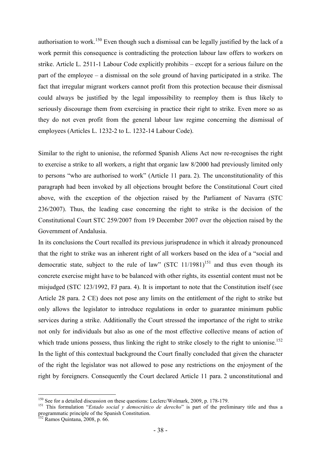authorisation to work.<sup>150</sup> Even though such a dismissal can be legally justified by the lack of a work permit this consequence is contradicting the protection labour law offers to workers on strike. Article L. 2511-1 Labour Code explicitly prohibits – except for a serious failure on the part of the employee – a dismissal on the sole ground of having participated in a strike. The fact that irregular migrant workers cannot profit from this protection because their dismissal could always be justified by the legal impossibility to reemploy them is thus likely to seriously discourage them from exercising in practice their right to strike. Even more so as they do not even profit from the general labour law regime concerning the dismissal of employees (Articles L. 1232-2 to L. 1232-14 Labour Code).

Similar to the right to unionise, the reformed Spanish Aliens Act now re-recognises the right to exercise a strike to all workers, a right that organic law 8/2000 had previously limited only to persons "who are authorised to work" (Article 11 para. 2). The unconstitutionality of this paragraph had been invoked by all objections brought before the Constitutional Court cited above, with the exception of the objection raised by the Parliament of Navarra (STC 236/2007). Thus, the leading case concerning the right to strike is the decision of the Constitutional Court STC 259/2007 from 19 December 2007 over the objection raised by the Government of Andalusia.

In its conclusions the Court recalled its previous jurisprudence in which it already pronounced that the right to strike was an inherent right of all workers based on the idea of a "social and democratic state, subject to the rule of law" (STC  $11/1981$ )<sup>151</sup> and thus even though its concrete exercise might have to be balanced with other rights, its essential content must not be misjudged (STC 123/1992, FJ para. 4). It is important to note that the Constitution itself (see Article 28 para. 2 CE) does not pose any limits on the entitlement of the right to strike but only allows the legislator to introduce regulations in order to guarantee minimum public services during a strike. Additionally the Court stressed the importance of the right to strike not only for individuals but also as one of the most effective collective means of action of which trade unions possess, thus linking the right to strike closely to the right to unionise.<sup>152</sup> In the light of this contextual background the Court finally concluded that given the character of the right the legislator was not allowed to pose any restrictions on the enjoyment of the right by foreigners. Consequently the Court declared Article 11 para. 2 unconstitutional and

<sup>&</sup>lt;u>.</u> <sup>150</sup> See for a detailed discussion on these questions: Leclerc/Wolmark, 2009, p. 178-179.

<sup>&</sup>lt;sup>151</sup> This formulation "*Estado social y democrático de derecho*" is part of the preliminary title and thus a programmatic principle of the Spanish Constitution.

<sup>152</sup> Ramos Quintana, 2008, p. 66.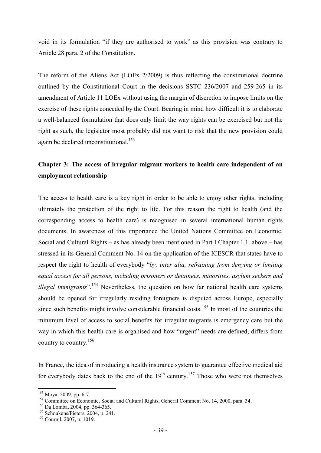void in its formulation "if they are authorised to work" as this provision was contrary to Article 28 para. 2 of the Constitution.

The reform of the Aliens Act (LOEx 2/2009) is thus reflecting the constitutional doctrine outlined by the Constitutional Court in the decisions SSTC 236/2007 and 259-265 in its amendment of Article 11 LOEx without using the margin of discretion to impose limits on the exercise of these rights conceded by the Court. Bearing in mind how difficult it is to elaborate a well-balanced formulation that does only limit the way rights can be exercised but not the right as such, the legislator most probably did not want to risk that the new provision could again be declared unconstitutional.<sup>153</sup>

### **Chapter 3: The access of irregular migrant workers to health care independent of an employment relationship**

The access to health care is a key right in order to be able to enjoy other rights, including ultimately the protection of the right to life. For this reason the right to health (and the corresponding access to health care) is recognised in several international human rights documents. In awareness of this importance the United Nations Committee on Economic, Social and Cultural Rights – as has already been mentioned in Part I Chapter 1.1. above – has stressed in its General Comment No. 14 on the application of the ICESCR that states have to respect the right to health of everybody "*by, inter alia, refraining from denying or limiting equal access for all persons, including prisoners or detainees, minorities, asylum seekers and illegal immigrants*".<sup>154</sup> Nevertheless, the question on how far national health care systems should be opened for irregularly residing foreigners is disputed across Europe, especially since such benefits might involve considerable financial costs.<sup>155</sup> In most of the countries the minimum level of access to social benefits for irregular migrants is emergency care but the way in which this health care is organised and how "urgent" needs are defined, differs from country to country.<sup>156</sup>

In France, the idea of introducing a health insurance system to guarantee effective medical aid for everybody dates back to the end of the  $19<sup>th</sup>$  century.<sup>157</sup> Those who were not themselves

<sup>153</sup> Moya, 2009, pp. 6-7.

<sup>&</sup>lt;sup>154</sup> Committee on Economic, Social and Cultural Rights, General Comment No. 14, 2000, para. 34.

<sup>155</sup> Da Lomba, 2004, pp. 364-365.

<sup>&</sup>lt;sup>156</sup> Schoukens/Pieters, 2004, p. 241.

<sup>157</sup> Cournil, 2007, p. 1019.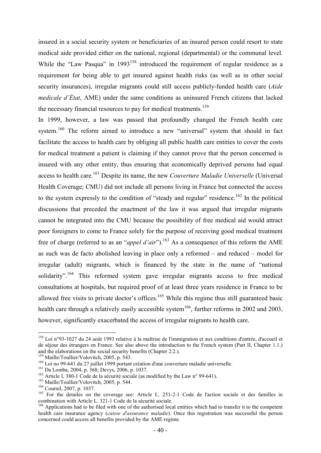insured in a social security system or beneficiaries of an insured person could resort to state medical aide provided either on the national, regional (departmental) or the communal level. While the "Law Pasqua" in  $1993^{158}$  introduced the requirement of regular residence as a requirement for being able to get insured against health risks (as well as in other social security insurances), irregular migrants could still access publicly-funded health care (*Aide medicale d'État*, AME) under the same conditions as uninsured French citizens that lacked the necessary financial resources to pay for medical treatments.<sup>159</sup>

In 1999, however, a law was passed that profoundly changed the French health care system.<sup>160</sup> The reform aimed to introduce a new "universal" system that should in fact facilitate the access to health care by obliging all public health care entities to cover the costs for medical treatment a patient is claiming if they cannot prove that the person concerned is insured with any other entity, thus ensuring that economically deprived persons had equal access to health care.<sup>161</sup> Despite its name, the new *Couverture Maladie Universelle* (Universal Health Coverage; CMU) did not include all persons living in France but connected the access to the system expressly to the condition of "steady and regular" residence.<sup>162</sup> In the political discussions that preceded the enactment of the law it was argued that irregular migrants cannot be integrated into the CMU because the possibility of free medical aid would attract poor foreigners to come to France solely for the purpose of receiving good medical treatment free of charge (referred to as an "*appel d'air*").<sup>163</sup> As a consequence of this reform the AME as such was de facto abolished leaving in place only a reformed – and reduced – model for irregular (adult) migrants, which is financed by the state in the name of "national solidarity".<sup>164</sup> This reformed system gave irregular migrants access to free medical consultations at hospitals, but required proof of at least three years residence in France to be allowed free visits to private doctor's offices.<sup>165</sup> While this regime thus still guaranteed basic health care through a relatively easily accessible system<sup>166</sup>, further reforms in 2002 and 2003, however, significantly exacerbated the access of irregular migrants to health care.

<sup>-</sup><sup>158</sup> Loi n°93-1027 du 24 août 1993 relative à la maîtrise de l'immigration et aux conditions d'entrée, d'accueil et de séjour des étrangers en France. See also above the introduction to the French system (Part II, Chapter 1.1.) and the elaborations on the social security benefits (Chapter 2.2.).

<sup>&</sup>lt;sup>159</sup> Maille/Toullier/Volovitch, 2005, p. 543.

<sup>160</sup> Loi no 99-641 du 27 juillet 1999 portant création d'une couverture maladie universelle.

<sup>161</sup> Da Lomba, 2004, p. 368; Devys, 2006, p. 1037.

<sup>&</sup>lt;sup>162</sup> Article L 380-1 Code de la sécurité sociale (as modified by the Law n° 99-641).

<sup>&</sup>lt;sup>163</sup> Maille/Toullier/Volovitch, 2005, p. 544.

<sup>164</sup> Cournil, 2007, p. 1037.

<sup>&</sup>lt;sup>165</sup> For the detailes on the coverage see: Article L. 251-2-1 Code de l'action sociale et des familles in combination with Article L. 321-1 Code de la sécurité sociale.

<sup>&</sup>lt;sup>166</sup> Applications had to be filed with one of the authorised local entities which had to transfer it to the competent health care insurance agency (*caisse d'assurance maladie*). Once this registration was successful the person concerned could access all benefits provided by the AME regime.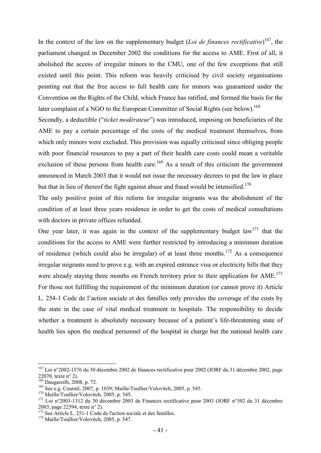In the context of the law on the supplementary budget (*Loi de finances rectificative*) <sup>167</sup>, the parliament changed in December 2002 the conditions for the access to AME. First of all, it abolished the access of irregular minors to the CMU, one of the few exceptions that still existed until this point. This reform was heavily criticised by civil society organisations pointing out that the free access to full health care for minors was guaranteed under the Convention on the Rights of the Child, which France has ratified, and formed the basis for the later complaint of a NGO to the European Committee of Social Rights (see below).<sup>168</sup>

Secondly, a deductible ("*ticket modérateur*") was introduced, imposing on beneficiaries of the AME to pay a certain percentage of the costs of the medical treatment themselves, from which only minors were excluded. This provision was equally criticised since obliging people with poor financial resources to pay a part of their health care costs could mean a veritable exclusion of these persons from health care.<sup>169</sup> As a result of this criticism the government announced in March 2003 that it would not issue the necessary decrees to put the law in place but that in lieu of thereof the fight against abuse and fraud would be intensified.<sup>170</sup>

The only positive point of this reform for irregular migrants was the abolishment of the condition of at least three years residence in order to get the costs of medical consultations with doctors in private offices refunded.

One year later, it was again in the context of the supplementary budget law<sup>171</sup> that the conditions for the access to AME were further restricted by introducing a minimum duration of residence (which could also be irregular) of at least three months.<sup>172</sup> As a consequence irregular migrants need to prove e.g. with an expired entrance visa or electricity bills that they were already staying three months on French territory prior to their application for  $AME$ <sup> $173$ </sup> For those not fulfilling the requirement of the minimum duration (or cannot prove it) Article L. 254-1 Code de l'action sociale et des familles only provides the coverage of the costs by the state in the case of vital medical treatment in hospitals. The responsibility to decide whether a treatment is absolutely necessary because of a patient's life-threatening state of health lies upon the medical personnel of the hospital in charge but the national health care

<sup>&</sup>lt;sup>167</sup> Loi n°2002-1576 du 30 décembre 2002 de finances rectificative pour 2002 (JORF du 31 décembre 2002, page 22070, texte n° 2).

<sup>168</sup> Daugareilh, 2008, p. 72.

<sup>169</sup> See e.g. Cournil, 2007, p. 1039; Maille/Toullier/Volovitch, 2005, p. 545.

<sup>&</sup>lt;sup>170</sup> Maille/Toullier/Volovitch, 2005, p. 545.

<sup>171</sup> Loi n°2003-1312 du 30 décembre 2003 de Finances rectificative pour 2003 (JORF n°302 du 31 décembre 2003, page 22594, texte n° 2).

<sup>&</sup>lt;sup>172</sup> See Article L. 251-1 Code de l'action sociale et des familles.

<sup>&</sup>lt;sup>173</sup> Maille/Toullier/Volovitch, 2005, p. 547.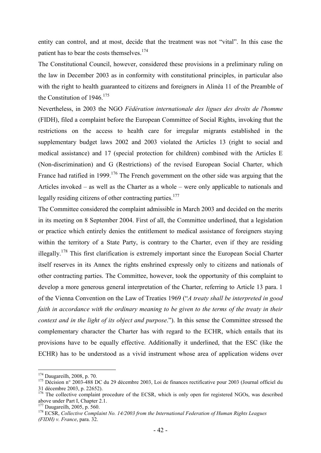entity can control, and at most, decide that the treatment was not "vital". In this case the patient has to bear the costs themselves.<sup>174</sup>

The Constitutional Council, however, considered these provisions in a preliminary ruling on the law in December 2003 as in conformity with constitutional principles, in particular also with the right to health guaranteed to citizens and foreigners in Alinéa 11 of the Preamble of the Constitution of  $1946$ <sup>175</sup>

Nevertheless, in 2003 the NGO *Fédération internationale des ligues des droits de l'homme* (FIDH), filed a complaint before the European Committee of Social Rights, invoking that the restrictions on the access to health care for irregular migrants established in the supplementary budget laws 2002 and 2003 violated the Articles 13 (right to social and medical assistance) and 17 (special protection for children) combined with the Articles E (Non-discrimination) and G (Restrictions) of the revised European Social Charter, which France had ratified in 1999.<sup>176</sup> The French government on the other side was arguing that the Articles invoked – as well as the Charter as a whole – were only applicable to nationals and legally residing citizens of other contracting parties.<sup>177</sup>

The Committee considered the complaint admissible in March 2003 and decided on the merits in its meeting on 8 September 2004. First of all, the Committee underlined, that a legislation or practice which entirely denies the entitlement to medical assistance of foreigners staying within the territory of a State Party, is contrary to the Charter, even if they are residing illegally.<sup>178</sup> This first clarification is extremely important since the European Social Charter itself reserves in its Annex the rights enshrined expressly only to citizens and nationals of other contracting parties. The Committee, however, took the opportunity of this complaint to develop a more generous general interpretation of the Charter, referring to Article 13 para. 1 of the Vienna Convention on the Law of Treaties 1969 ("*A treaty shall be interpreted in good faith in accordance with the ordinary meaning to be given to the terms of the treaty in their context and in the light of its object and purpose*."). In this sense the Committee stressed the complementary character the Charter has with regard to the ECHR, which entails that its provisions have to be equally effective. Additionally it underlined, that the ESC (like the ECHR) has to be understood as a vivid instrument whose area of application widens over

<sup>174</sup> Daugareilh, 2008, p. 70.

<sup>&</sup>lt;sup>175</sup> Décision n° 2003-488 DC du 29 décembre 2003, Loi de finances rectificative pour 2003 (Journal officiel du 31 décembre 2003, p. 22652).

<sup>&</sup>lt;sup>176</sup> The collective complaint procedure of the ECSR, which is only open for registered NGOs, was described above under Part I, Chapter 2.1.

<sup>177</sup> Daugareilh, 2005, p. 560.

<sup>178</sup> ECSR, *Collective Complaint No. 14/2003 from the International Federation of Human Rights Leagues (FIDH) v. France*, para. 32.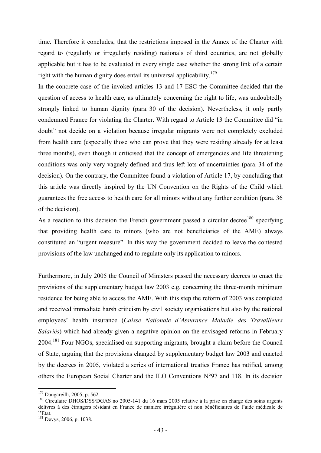time. Therefore it concludes, that the restrictions imposed in the Annex of the Charter with regard to (regularly or irregularly residing) nationals of third countries, are not globally applicable but it has to be evaluated in every single case whether the strong link of a certain right with the human dignity does entail its universal applicability.<sup>179</sup>

In the concrete case of the invoked articles 13 and 17 ESC the Committee decided that the question of access to health care, as ultimately concerning the right to life, was undoubtedly strongly linked to human dignity (para. 30 of the decision). Nevertheless, it only partly condemned France for violating the Charter. With regard to Article 13 the Committee did "in doubt" not decide on a violation because irregular migrants were not completely excluded from health care (especially those who can prove that they were residing already for at least three months), even though it criticised that the concept of emergencies and life threatening conditions was only very vaguely defined and thus left lots of uncertainties (para. 34 of the decision). On the contrary, the Committee found a violation of Article 17, by concluding that this article was directly inspired by the UN Convention on the Rights of the Child which guarantees the free access to health care for all minors without any further condition (para. 36 of the decision).

As a reaction to this decision the French government passed a circular decree<sup>180</sup> specifying that providing health care to minors (who are not beneficiaries of the AME) always constituted an "urgent measure". In this way the government decided to leave the contested provisions of the law unchanged and to regulate only its application to minors.

Furthermore, in July 2005 the Council of Ministers passed the necessary decrees to enact the provisions of the supplementary budget law 2003 e.g. concerning the three-month minimum residence for being able to access the AME. With this step the reform of 2003 was completed and received immediate harsh criticism by civil society organisations but also by the national employees' health insurance (*Caisse Nationale d'Assurance Maladie des Travailleurs Salariés*) which had already given a negative opinion on the envisaged reforms in February 2004.<sup>181</sup> Four NGOs, specialised on supporting migrants, brought a claim before the Council of State, arguing that the provisions changed by supplementary budget law 2003 and enacted by the decrees in 2005, violated a series of international treaties France has ratified, among others the European Social Charter and the ILO Conventions N°97 and 118. In its decision

<sup>179</sup> Daugareilh, 2005, p. 562.

<sup>&</sup>lt;sup>180</sup> Circulaire DHOS/DSS/DGAS no 2005-141 du 16 mars 2005 relative à la prise en charge des soins urgents délivrés à des étrangers résidant en France de manière irrégulière et non bénéficiaires de l'aide médicale de l'Etat.

<sup>181</sup> Devys, 2006, p. 1038.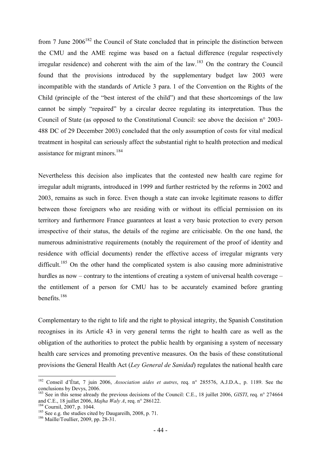from 7 June  $2006^{182}$  the Council of State concluded that in principle the distinction between the CMU and the AME regime was based on a factual difference (regular respectively irregular residence) and coherent with the aim of the law.<sup>183</sup> On the contrary the Council found that the provisions introduced by the supplementary budget law 2003 were incompatible with the standards of Article 3 para. 1 of the Convention on the Rights of the Child (principle of the "best interest of the child") and that these shortcomings of the law cannot be simply "repaired" by a circular decree regulating its interpretation. Thus the Council of State (as opposed to the Constitutional Council: see above the decision n° 2003- 488 DC of 29 December 2003) concluded that the only assumption of costs for vital medical treatment in hospital can seriously affect the substantial right to health protection and medical assistance for migrant minors.<sup>184</sup>

Nevertheless this decision also implicates that the contested new health care regime for irregular adult migrants, introduced in 1999 and further restricted by the reforms in 2002 and 2003, remains as such in force. Even though a state can invoke legitimate reasons to differ between those foreigners who are residing with or without its official permission on its territory and furthermore France guarantees at least a very basic protection to every person irrespective of their status, the details of the regime are criticisable. On the one hand, the numerous administrative requirements (notably the requirement of the proof of identity and residence with official documents) render the effective access of irregular migrants very difficult.<sup>185</sup> On the other hand the complicated system is also causing more administrative hurdles as now – contrary to the intentions of creating a system of universal health coverage – the entitlement of a person for CMU has to be accurately examined before granting benefits.<sup>186</sup>

Complementary to the right to life and the right to physical integrity, the Spanish Constitution recognises in its Article 43 in very general terms the right to health care as well as the obligation of the authorities to protect the public health by organising a system of necessary health care services and promoting preventive measures. On the basis of these constitutional provisions the General Health Act (*Ley General de Sanidad*) regulates the national health care

<sup>182</sup> Conseil d'État, 7 juin 2006, *Association aides et autres*, req. n° 285576, A.J.D.A., p. 1189. See the conclusions by Devys, 2006.

<sup>&</sup>lt;sup>183</sup> See in this sense already the previous decisions of the Council: C.E., 18 juillet 2006, *GISTI*, req. n° 274664 and C.E., 18 juillet 2006, *Majha Waly A*, req. n° 286122.

<sup>184</sup> Cournil, 2007, p. 1044.

 $185$  See e.g. the studies cited by Daugareilh, 2008, p. 71.

<sup>&</sup>lt;sup>186</sup> Maille/Toullier, 2009, pp. 28-31.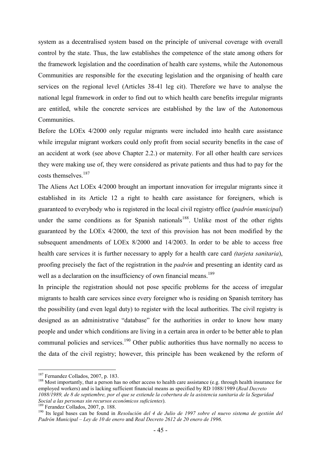system as a decentralised system based on the principle of universal coverage with overall control by the state. Thus, the law establishes the competence of the state among others for the framework legislation and the coordination of health care systems, while the Autonomous Communities are responsible for the executing legislation and the organising of health care services on the regional level (Articles 38-41 leg cit). Therefore we have to analyse the national legal framework in order to find out to which health care benefits irregular migrants are entitled, while the concrete services are established by the law of the Autonomous **Communities** 

Before the LOEx 4/2000 only regular migrants were included into health care assistance while irregular migrant workers could only profit from social security benefits in the case of an accident at work (see above Chapter 2.2.) or maternity. For all other health care services they were making use of, they were considered as private patients and thus had to pay for the costs themselves.<sup>187</sup>

The Aliens Act LOEx 4/2000 brought an important innovation for irregular migrants since it established in its Article 12 a right to health care assistance for foreigners, which is guaranteed to everybody who is registered in the local civil registry office (*padrón municipal*) under the same conditions as for Spanish nationals<sup>188</sup>. Unlike most of the other rights guaranteed by the LOEx 4/2000, the text of this provision has not been modified by the subsequent amendments of LOEx 8/2000 and 14/2003. In order to be able to access free health care services it is further necessary to apply for a health care card *(tarjeta sanitaria*), proofing precisely the fact of the registration in the *padrón* and presenting an identity card as well as a declaration on the insufficiency of own financial means.<sup>189</sup>

In principle the registration should not pose specific problems for the access of irregular migrants to health care services since every foreigner who is residing on Spanish territory has the possibility (and even legal duty) to register with the local authorities. The civil registry is designed as an administrative "database" for the authorities in order to know how many people and under which conditions are living in a certain area in order to be better able to plan communal policies and services.<sup>190</sup> Other public authorities thus have normally no access to the data of the civil registry; however, this principle has been weakened by the reform of

-

<sup>189</sup> Ferandez Collados, 2007, p. 188.

<sup>&</sup>lt;sup>187</sup> Fernandez Collados, 2007, p. 183.

<sup>&</sup>lt;sup>188</sup> Most importantly, that a person has no other access to health care assistance (e.g. through health insurance for employed workers) and is lacking sufficient financial means as specified by RD 1088/1989 (*Real Decreto 1088/1989, de 8 de septiembre, por el que se extiende la cobertura de la asistencia sanitaria de la Seguridad Social a las personas sin recursos económicos suficientes*).

<sup>&</sup>lt;sup>190</sup> Its legal bases can be found in *Resolución del 4 de Julio de 1997 sobre el nuevo sistema de gestión del Padrón Municipal – Ley de 10 de enero* and *Real Decreto 2612 de 20 enero de 1996*.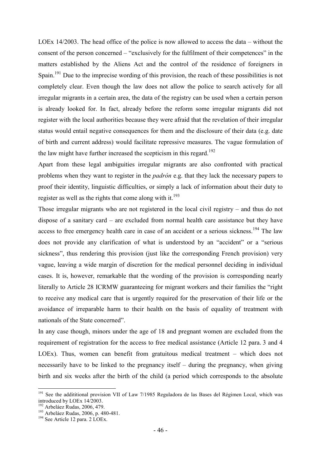LOEx 14/2003. The head office of the police is now allowed to access the data – without the consent of the person concerned – "exclusively for the fulfilment of their competences" in the matters established by the Aliens Act and the control of the residence of foreigners in Spain.<sup>191</sup> Due to the imprecise wording of this provision, the reach of these possibilities is not completely clear. Even though the law does not allow the police to search actively for all irregular migrants in a certain area, the data of the registry can be used when a certain person is already looked for. In fact, already before the reform some irregular migrants did not register with the local authorities because they were afraid that the revelation of their irregular status would entail negative consequences for them and the disclosure of their data (e.g. date of birth and current address) would facilitate repressive measures. The vague formulation of the law might have further increased the scepticism in this regard.<sup>192</sup>

Apart from these legal ambiguities irregular migrants are also confronted with practical problems when they want to register in the *padrón* e.g. that they lack the necessary papers to proof their identity, linguistic difficulties, or simply a lack of information about their duty to register as well as the rights that come along with it.<sup>193</sup>

Those irregular migrants who are not registered in the local civil registry – and thus do not dispose of a sanitary card – are excluded from normal health care assistance but they have access to free emergency health care in case of an accident or a serious sickness.<sup>194</sup> The law does not provide any clarification of what is understood by an "accident" or a "serious sickness", thus rendering this provision (just like the corresponding French provision) very vague, leaving a wide margin of discretion for the medical personnel deciding in individual cases. It is, however, remarkable that the wording of the provision is corresponding nearly literally to Article 28 ICRMW guaranteeing for migrant workers and their families the "right to receive any medical care that is urgently required for the preservation of their life or the avoidance of irreparable harm to their health on the basis of equality of treatment with nationals of the State concerned".

In any case though, minors under the age of 18 and pregnant women are excluded from the requirement of registration for the access to free medical assistance (Article 12 para. 3 and 4 LOEx). Thus, women can benefit from gratuitous medical treatment – which does not necessarily have to be linked to the pregnancy itself – during the pregnancy, when giving birth and six weeks after the birth of the child (a period which corresponds to the absolute

<sup>&</sup>lt;sup>191</sup> See the addititional provision VII of Law 7/1985 Reguladora de las Bases del Régimen Local, which was introduced by LOEx 14/2003.

<sup>&</sup>lt;sup>192</sup> Arbeláez Rudas, 2006, 479.

<sup>&</sup>lt;sup>193</sup> Arbeláez Rudas, 2006, p. 480-481.

<sup>&</sup>lt;sup>194</sup> See Article 12 para. 2 LOEx.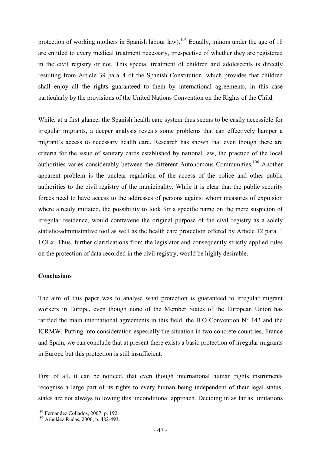protection of working mothers in Spanish labour law).<sup>195</sup> Equally, minors under the age of 18 are entitled to every medical treatment necessary, irrespective of whether they are registered in the civil registry or not. This special treatment of children and adolescents is directly resulting from Article 39 para. 4 of the Spanish Constitution, which provides that children shall enjoy all the rights guaranteed to them by international agreements, in this case particularly by the provisions of the United Nations Convention on the Rights of the Child.

While, at a first glance, the Spanish health care system thus seems to be easily accessible for irregular migrants, a deeper analysis reveals some problems that can effectively hamper a migrant's access to necessary health care. Research has shown that even though there are criteria for the issue of sanitary cards established by national law, the practice of the local authorities varies considerably between the different Autonomous Communities.<sup>196</sup> Another apparent problem is the unclear regulation of the access of the police and other public authorities to the civil registry of the municipality. While it is clear that the public security forces need to have access to the addresses of persons against whom measures of expulsion where already initiated, the possibility to look for a specific name on the mere suspicion of irregular residence, would contravene the original purpose of the civil registry as a solely statistic-administrative tool as well as the health care protection offered by Article 12 para. 1 LOEx. Thus, further clarifications from the legislator and consequently strictly applied rules on the protection of data recorded in the civil registry, would be highly desirable.

#### **Conclusions**

The aim of this paper was to analyse what protection is guaranteed to irregular migrant workers in Europe, even though none of the Member States of the European Union has ratified the main international agreements in this field, the ILO Convention  $N^{\circ}$  143 and the ICRMW. Putting into consideration especially the situation in two concrete countries, France and Spain, we can conclude that at present there exists a basic protection of irregular migrants in Europe but this protection is still insufficient.

First of all, it can be noticed, that even though international human rights instruments recognise a large part of its rights to every human being independent of their legal status, states are not always following this unconditional approach. Deciding in as far as limitations

<sup>&</sup>lt;sup>195</sup> Fernandez Collados, 2007, p. 192.

<sup>196</sup> Arbeláez Rudas, 2006, p. 482-493.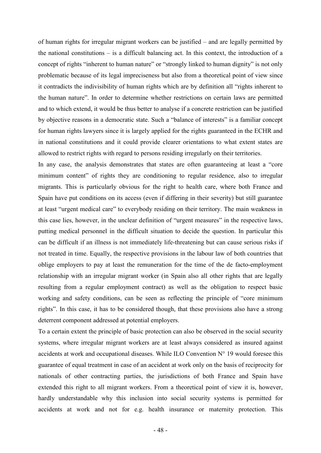of human rights for irregular migrant workers can be justified – and are legally permitted by the national constitutions – is a difficult balancing act. In this context, the introduction of a concept of rights "inherent to human nature" or "strongly linked to human dignity" is not only problematic because of its legal impreciseness but also from a theoretical point of view since it contradicts the indivisibility of human rights which are by definition all "rights inherent to the human nature". In order to determine whether restrictions on certain laws are permitted and to which extend, it would be thus better to analyse if a concrete restriction can be justified by objective reasons in a democratic state. Such a "balance of interests" is a familiar concept for human rights lawyers since it is largely applied for the rights guaranteed in the ECHR and in national constitutions and it could provide clearer orientations to what extent states are allowed to restrict rights with regard to persons residing irregularly on their territories.

In any case, the analysis demonstrates that states are often guaranteeing at least a "core minimum content" of rights they are conditioning to regular residence, also to irregular migrants. This is particularly obvious for the right to health care, where both France and Spain have put conditions on its access (even if differing in their severity) but still guarantee at least "urgent medical care" to everybody residing on their territory. The main weakness in this case lies, however, in the unclear definition of "urgent measures" in the respective laws, putting medical personnel in the difficult situation to decide the question. In particular this can be difficult if an illness is not immediately life-threatening but can cause serious risks if not treated in time. Equally, the respective provisions in the labour law of both countries that oblige employers to pay at least the remuneration for the time of the de facto-employment relationship with an irregular migrant worker (in Spain also all other rights that are legally resulting from a regular employment contract) as well as the obligation to respect basic working and safety conditions, can be seen as reflecting the principle of "core minimum rights". In this case, it has to be considered though, that these provisions also have a strong deterrent component addressed at potential employers.

To a certain extent the principle of basic protection can also be observed in the social security systems, where irregular migrant workers are at least always considered as insured against accidents at work and occupational diseases. While ILO Convention  $N^{\circ}$  19 would foresee this guarantee of equal treatment in case of an accident at work only on the basis of reciprocity for nationals of other contracting parties, the jurisdictions of both France and Spain have extended this right to all migrant workers. From a theoretical point of view it is, however, hardly understandable why this inclusion into social security systems is permitted for accidents at work and not for e.g. health insurance or maternity protection. This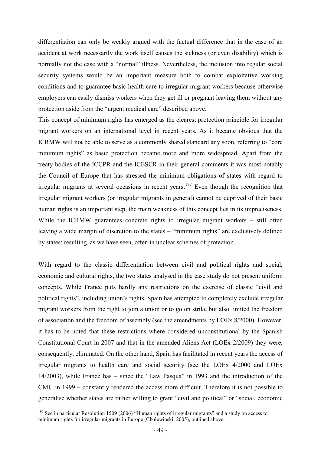differentiation can only be weakly argued with the factual difference that in the case of an accident at work necessarily the work itself causes the sickness (or even disability) which is normally not the case with a "normal" illness. Nevertheless, the inclusion into regular social security systems would be an important measure both to combat exploitative working conditions and to guarantee basic health care to irregular migrant workers because otherwise employers can easily dismiss workers when they get ill or pregnant leaving them without any protection aside from the "urgent medical care" described above.

This concept of minimum rights has emerged as the clearest protection principle for irregular migrant workers on an international level in recent years. As it became obvious that the ICRMW will not be able to serve as a commonly shared standard any soon, referring to "core minimum rights" as basic protection became more and more widespread. Apart from the treaty bodies of the ICCPR and the ICESCR in their general comments it was most notably the Council of Europe that has stressed the minimum obligations of states with regard to irregular migrants at several occasions in recent years.<sup>197</sup> Even though the recognition that irregular migrant workers (or irregular migrants in general) cannot be deprived of their basic human rights is an important step, the main weakness of this concept lies in its impreciseness. While the ICRMW guarantees concrete rights to irregular migrant workers – still often leaving a wide margin of discretion to the states – "minimum rights" are exclusively defined by states; resulting, as we have seen, often in unclear schemes of protection.

With regard to the classic differentiation between civil and political rights and social, economic and cultural rights, the two states analysed in the case study do not present uniform concepts. While France puts hardly any restrictions on the exercise of classic "civil and political rights", including union's rights, Spain has attempted to completely exclude irregular migrant workers from the right to join a union or to go on strike but also limited the freedom of association and the freedom of assembly (see the amendments by LOEx 8/2000). However, it has to be noted that these restrictions where considered unconstitutional by the Spanish Constitutional Court in 2007 and that in the amended Aliens Act (LOEx 2/2009) they were, consequently, eliminated. On the other hand, Spain has facilitated in recent years the access of irregular migrants to health care and social security (see the LOEx 4/2000 and LOEx 14/2003), while France has – since the "Law Pasqua" in 1993 and the introduction of the CMU in 1999 – constantly rendered the access more difficult. Therefore it is not possible to generalise whether states are rather willing to grant "civil and political" or "social, economic

 $197$  See in particular Resolution 1509 (2006) "Human rights of irregular migrants" and a study on access to minimum rights for irregular migrants in Europe (Cholewinski: 2005), outlined above.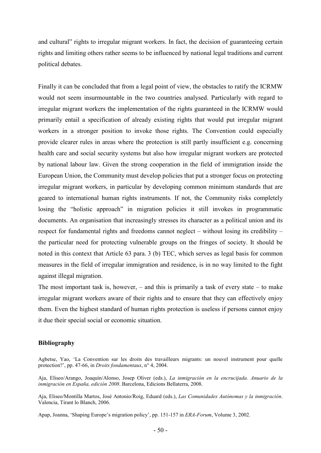and cultural" rights to irregular migrant workers. In fact, the decision of guaranteeing certain rights and limiting others rather seems to be influenced by national legal traditions and current political debates.

Finally it can be concluded that from a legal point of view, the obstacles to ratify the ICRMW would not seem insurmountable in the two countries analysed. Particularly with regard to irregular migrant workers the implementation of the rights guaranteed in the ICRMW would primarily entail a specification of already existing rights that would put irregular migrant workers in a stronger position to invoke those rights. The Convention could especially provide clearer rules in areas where the protection is still partly insufficient e.g. concerning health care and social security systems but also how irregular migrant workers are protected by national labour law. Given the strong cooperation in the field of immigration inside the European Union, the Community must develop policies that put a stronger focus on protecting irregular migrant workers, in particular by developing common minimum standards that are geared to international human rights instruments. If not, the Community risks completely losing the "holistic approach" in migration policies it still invokes in programmatic documents. An organisation that increasingly stresses its character as a political union and its respect for fundamental rights and freedoms cannot neglect – without losing its credibility – the particular need for protecting vulnerable groups on the fringes of society. It should be noted in this context that Article 63 para. 3 (b) TEC, which serves as legal basis for common measures in the field of irregular immigration and residence, is in no way limited to the fight against illegal migration.

The most important task is, however,  $-$  and this is primarily a task of every state  $-$  to make irregular migrant workers aware of their rights and to ensure that they can effectively enjoy them. Even the highest standard of human rights protection is useless if persons cannot enjoy it due their special social or economic situation.

#### **Bibliography**

Agbetse, Yao, 'La Convention sur les droits des travailleurs migrants: un nouvel instrument pour quelle protection?', pp. 47-66, in *Droits fondamentaux*, n° 4, 2004.

Aja, Eliseo/Arango, Joaquín/Alonso, Josep Oliver (eds.), *La inmigración en la encrucijada. Anuario de la inmigración en España, edición 2008*. Barcelona, Edicions Bellaterra, 2008.

Aja, Eliseo/Montilla Martos, José Antonio/Roig, Eduard (eds.), *Las Comunidades Autónomas y la inmigración*. Valencia, Tirant lo Blanch, 2006.

Apap, Joanna, 'Shaping Europe's migration policy', pp. 151-157 in *ERA-Forum*, Volume 3, 2002.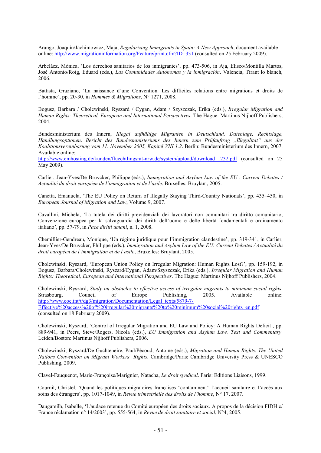Arango, Joaquín/Jachimowicz, Maja, *Regularizing Immigrants in Spain: A New Approach*, document available online: http://www.migrationinformation.org/Feature/print.cfm?ID=331 (consulted on 25 February 2009).

Arbeláez, Mónica, 'Los derechos sanitarios de los inmigrantes', pp. 473-506, in Aja, Eliseo/Montilla Martos, José Antonio/Roig, Eduard (eds.), *Las Comunidades Autónomas y la inmigración*. Valencia, Tirant lo blanch, 2006.

Battista, Graziano, 'La naissance d'une Convention. Les difficiles relations entre migrations et droits de l'homme', pp. 20-30, in *Hommes & Migrations*, N° 1271, 2008.

Bogusz, Barbara / Cholewinski, Ryszard / Cygan, Adam / Szyszczak, Erika (eds.), *Irregular Migration and Human Rights: Theoretical, European and International Perspectives*. The Hague: Martinus Nijhoff Publishers, 2004.

Bundesministerium des Innern, *Illegal aufhältige Migranten in Deutschland. Datenlage, Rechtslage, Handlungsoptionen*. *Bericht des Bundesministeriums des Innern zum Prüfauftrag "Illegalität" aus der Koalitionsvereinbarung vom 11. November 2005, Kapitel VIII 1.2*. Berlin: Bundesministerium des Innern, 2007. Available online:

http://www.emhosting.de/kunden/fluechtlingsrat-nrw.de/system/upload/download\_1232.pdf (consulted on 25 May 2009).

Carlier, Jean-Yves/De Bruycker, Philippe (eds.), *Immigration and Asylum Law of the EU : Current Debates / Actualité du droit européen de l'immigration et de l'asile*. Bruxelles: Bruylant, 2005.

Canetta, Emanuela, 'The EU Policy on Return of Illegally Staying Third-Country Nationals', pp. 435–450, in *European Journal of Migration and Law*, Volume 9, 2007.

Cavallini, Michela, 'La tutela dei diritti previdenziali dei lavoratori non comunitari tra diritto comunitario, Convenzione europea per la salvaguardia dei diritti dell'uomo e delle libertà fondamentali e ordinamento italiano', pp. 57-79, in *Pace diritti umani*, n. 1, 2008.

Chemillier-Gendreau, Monique, 'Un régime juridique pour l'immigration clandestine', pp. 319-341, in Carlier, Jean-Yves/De Bruycker, Philippe (eds.), *Immigration and Asylum Law of the EU: Current Debates / Actualité du droit européen de l'immigration et de l'asile*, Bruxelles: Bruylant, 2005.

Cholewinski, Ryszard, 'European Union Policy on Irregular Migration: Human Rights Lost?', pp. 159-192, in Bogusz, Barbara/Cholewinski, Ryszard/Cygan, Adam/Szyszczak, Erika (eds.), *Irregular Migration and Human Rights: Theoretical, European and International Perspectives*. The Hague: Martinus Nijhoff Publishers, 2004.

Cholewinski, Ryszard, *Study on obstacles to effective access of irregular migrants to minimum social rights*. Council of Europe Publishing, 2005. Available online: http://www.coe.int/t/dg3/migration/Documentation/Legal\_texts/5879-7- Effective%20access%20of%20irregular%20migrants%20to%20minimum%20social%20rights\_en.pdf (consulted on 18 February 2009).

Cholewinski, Ryszard, 'Control of Irregular Migration and EU Law and Policy: A Human Rights Deficit', pp. 889-941, in Peers, Steve/Rogers, Nicola (eds.), *EU Immigration and Asylum Law. Text and Commentary*. Leiden/Boston: Martinus Nijhoff Publishers, 2006.

Cholewinski, Ryszard/De Guchteneire, Paul/Pécoud, Antoine (eds.), *Migration and Human Rights. The United Nations Convention on Migrant Workers' Rights*. Cambridge/Paris: Cambridge University Press & UNESCO Publishing, 2009.

Clavel-Fauquenot, Marie-Françoise/Marignier, Natacha, *Le droit syndical*. Paris: Editions Liaisons, 1999.

Cournil, Christel, 'Quand les politiques migratoires françaises "contaminent" l'accueil sanitaire et l'accès aux soins des étrangers', pp. 1017-1049, in *Revue trimestrielle des droits de l'homme*, N° 17, 2007.

Daugareilh, Isabelle, 'L'audace retenue du Comité européen des droits sociaux. A propos de la décision FIDH c/ France réclamation n° 14/2003', pp. 555-564, in *Revue de droit sanitaire et social*, N°4, 2005.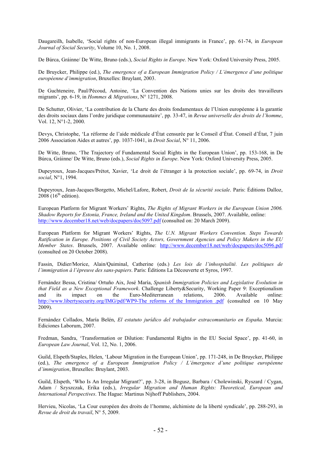Daugareilh, Isabelle, 'Social rights of non-European illegal immigrants in France', pp. 61-74, in *European Journal of Social Security*, Volume 10, No. 1, 2008.

De Búrca, Gráinne/ De Witte, Bruno (eds.), *Social Rights in Europe*. New York: Oxford University Press, 2005.

De Bruycker, Philippe (ed.), *The emergence of a European Immigration Policy / L'émergence d'une politique européenne d'immigration*, Bruxelles: Bruylant, 2003.

De Guchteneire, Paul/Pécoud, Antoine, 'La Convention des Nations unies sur les droits des travailleurs migrants', pp. 6-19, in *Hommes & Migrations*, N° 1271, 2008.

De Schutter, Olivier, 'La contribution de la Charte des droits fondamentaux de l'Union européenne à la garantie des droits sociaux dans l'ordre juridique communautaire', pp. 33-47, in *Revue universelle des droits de l'homme*, Vol. 12, N°1-2, 2000.

Devys, Christophe, 'La réforme de l'aide médicale d'État censurée par le Conseil d'État. Conseil d'État, 7 juin 2006 Association Aides et autres', pp. 1037-1041, in *Droit Social*, N° 11, 2006.

De Witte, Bruno, 'The Trajectory of Fundamental Social Rights in the European Union', pp. 153-168, in De Búrca, Gráinne/ De Witte, Bruno (eds.), *Social Rights in Europe*. New York: Oxford University Press, 2005.

Dupeyroux, Jean-Jacques/Prétot, Xavier, 'Le droit de l'étranger à la protection sociale', pp. 69-74, in *Droit social*, N°1, 1994.

Dupeyroux, Jean-Jacques/Borgetto, Michel/Lafore, Robert, *Droit de la sécurité sociale*. Paris: Éditions Dalloz,  $2008(16<sup>th</sup>$  edition).

European Platform for Migrant Workers' Rights, *The Rights of Migrant Workers in the European Union 2006. Shadow Reports for Estonia, France, Ireland and the United Kingdom*. Brussels, 2007. Available, online: http://www.december18.net/web/docpapers/doc5097.pdf (consulted on: 20 March 2009).

European Platform for Migrant Workers' Rights, *The U.N. Migrant Workers Convention. Steps Towards Ratification in Europe. Positions of Civil Society Actors, Government Agencies and Policy Makers in the EU Member States*. Brussels, 2007. Available online: http://www.december18.net/web/docpapers/doc5096.pdf (consulted on 20 October 2008).

Fassin, Didier/Morice, Alain/Quiminal, Catherine (eds.) *Les lois de l'inhospitalité. Les politiques de l'immigration à l'épreuve des sans-papiers*. Paris: Éditions La Découverte et Syros, 1997.

Fernández Bessa, Cristina/ Ortuño Aix, José María, *Spanish Immigration Policies and Legislative Evolution in that Field as a New Exceptional Framework*. Challenge Liberty&Security, Working Paper 9: Exceptionalism and its impact on the Euro-Mediterranean relations, 2006. Available online: http://www.libertysecurity.org/IMG/pdf/WP9-The\_reforms\_of\_the\_Immigration\_.pdf (consulted on 10 May 2009).

Fernández Collados, María Belén, *El estatuto jurídico del trabajador extracomunitario en España*. Murcia: Ediciones Laborum, 2007.

Fredman, Sandra, 'Transformation or Dilution: Fundamental Rights in the EU Social Space', pp. 41-60, in *European Law Journal*, Vol. 12, No. 1, 2006.

Guild, Elspeth/Staples, Helen, 'Labour Migration in the European Union', pp. 171-248, in De Bruycker, Philippe (ed.), *The emergence of a European Immigration Policy / L'émergence d'une politique européenne d'immigration*, Bruxelles: Bruylant, 2003.

Guild, Elspeth, 'Who Is An Irregular Migrant?', pp. 3-28, in Bogusz, Barbara / Cholewinski, Ryszard / Cygan, Adam / Szyszczak, Erika (eds.), *Irregular Migration and Human Rights: Theoretical, European and International Perspectives*. The Hague: Martinus Nijhoff Publishers, 2004.

Hervieu, Nicolas, 'La Cour européen des droits de l'homme, alchimiste de la liberté syndicale', pp. 288-293, in *Revue de droit du travail*, N° 5, 2009.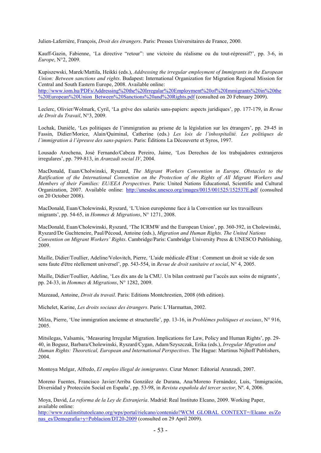Julien-Laferrière, François, *Droit des étrangers*. Paris: Presses Universitaires de France, 2000.

Kauff-Gazin, Fabienne, 'La directive "retour": une victoire du réalisme ou du tout-répressif?', pp. 3-6, in *Europe*, N°2, 2009.

Kupiszewski, Marek/Mattila, Heikki (eds.), *Addressing the irregular employment of Immigrants in the European Union: Between sanctions and rights*. Budapest: International Organization for Migration Regional Mission for Central and South Eastern Europe, 2008. Available online: http://www.iom.hu/PDFs/Addressing%20the%20Irregular%20Employment%20of%20Immigrants%20in%20the %20European%20Union\_Between%20Sanctions%20and%20Rights.pdf (consulted on 20 February 2009).

Leclerc, Olivier/Wolmark, Cyril, 'La grève des salariés sans-papiers: aspects juridiques', pp. 177-179, in *Revue de Droit du Travail*, N°3, 2009.

Lochak, Danièle, 'Les politiques de l'immigration au prisme de la législation sur les étrangers', pp. 29-45 in Fassin, Didier/Morice, Alain/Quiminal, Catherine (eds.) *Les lois de l'inhospitalité. Les politiques de l'immigration à l'épreuve des sans-papiers*. Paris: Éditions La Découverte et Syros, 1997.

Lousado Arochena, José Fernando/Cabeza Pereiro, Jaime, 'Los Derechos de los trabajadores extranjeros irregulares', pp. 799-813, in *Aranzadi social IV*, 2004.

MacDonald, Euan/Cholwinski, Ryszard, *The Migrant Workers Convention in Europe. Obstacles to the Ratification of the International Convention on the Protection of the Rights of All Migrant Workers and Members of their Families: EU/EEA Perspectives*. Paris: United Nations Educational, Scientific and Cultural Organization, 2007. Available online: http://unesdoc.unesco.org/images/0015/001525/152537E.pdf (consulted on 20 October 2008).

MacDonald, Euan/Cholewinski, Ryszard, 'L'Union européenne face à la Convention sur les travailleurs migrants', pp. 54-65, in *Hommes & Migrations*, N° 1271, 2008.

MacDonald, Euan/Cholewinski, Ryszard, 'The ICRMW and the European Union', pp. 360-392, in Cholewinski, Ryszard/De Guchteneire, Paul/Pécoud, Antoine (eds.), *Migration and Human Rights. The United Nations Convention on Migrant Workers' Rights*. Cambridge/Paris: Cambridge University Press & UNESCO Publishing, 2009.

Maille, Didier/Toullier, Adeline/Volovitch, Pierre, 'L'aide médicale d'Etat : Comment un droit se vide de son sens faute d'être réellement universel', pp. 543-554, in *Revue de droit sanitaire et social*, N° 4, 2005.

Maille, Didier/Toullier, Adeline, 'Les dix ans de la CMU. Un bilan contrasté par l'accès aux soins de migrants', pp. 24-33, in *Hommes & Migrations*, N° 1282, 2009.

Mazeaud, Antoine, *Droit du travail*. Paris: Editions Montchrestien, 2008 (6th edition).

Michelet, Karine, *Les droits sociaux des étrangers*. Paris: L'Harmattan, 2002.

Milza, Pierre, 'Une immigration ancienne et structurelle', pp. 13-16, in *Problèmes politiques et sociaux*, N° 916, 2005.

Mitsilegas, Valsamis, 'Measuring Irregular Migration. Implications for Law, Policy and Human Rights', pp. 29- 40, in Bogusz, Barbara/Cholewinski, Ryszard/Cygan, Adam/Szyszczak, Erika (eds.), *Irregular Migration and Human Rights: Theoretical, European and International Perspectives*. The Hague: Martinus Nijhoff Publishers, 2004.

Montoya Melgar, Alfredo, *El empleo illegal de inmigrantes*. Cizur Menor: Editorial Aranzadi, 2007.

Moreno Fuentes, Francisco Javier/Arriba González de Durana, Ana/Moreno Fernández, Luis, 'Inmigración, Diversidad y Protección Social en España', pp. 53-98, in *Revista española del tercer sector*, Nº. 4, 2006.

Moya, David, *La reforma de la Ley de Extranjería*. Madrid: Real Instituto Elcano, 2009. Working Paper, available online:

http://www.realinstitutoelcano.org/wps/portal/rielcano/contenido?WCM\_GLOBAL\_CONTEXT=/Elcano\_es/Zo nas\_es/Demografia+y+Poblacion/DT20-2009 (consulted on 29 April 2009).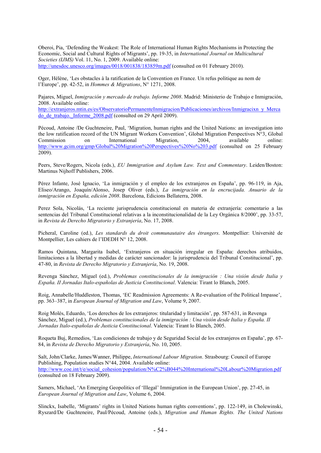Oberoi, Pia, 'Defending the Weakest: The Role of International Human Rights Mechanisms in Protecting the Economic, Social and Cultural Rights of Migrants', pp. 19-35, in *International Journal on Multicultural Societies (IJMS)* Vol. 11, No. 1, 2009. Available online: http://unesdoc.unesco.org/images/0018/001838/183859m.pdf (consulted on 01 February 2010).

Oger, Hélène, 'Les obstacles à la ratification de la Convention en France. Un refus politique au nom de l'Europe', pp. 42-52, in *Hommes & Migrations*, N° 1271, 2008.

Pajares, Miguel, *Inmigración y mercado de trabajo. Informe 2008*. Madrid: Ministerio de Trabajo e Inmigración, 2008. Available online:

http://extranjeros.mtin.es/es/ObservatorioPermanenteInmigracion/Publicaciones/archivos/Inmigracixn\_y\_Merca do de trabajo. Informe 2008.pdf (consulted on 29 April 2009).

Pécoud, Antoine /De Guchteneire, Paul, 'Migration, human rights and the United Nations: an investigation into the low ratification record of the UN Migrant Workers Convention', Global Migration Perspectives N°3, Global Commission on International Migration, 2004, available online: http://www.gcim.org/gmp/Global%20Migration%20Perspectives%20No%203.pdf (consulted on 25 February 2009).

Peers, Steve/Rogers, Nicola (eds.), *EU Immigration and Asylum Law. Text and Commentary*. Leiden/Boston: Martinus Nijhoff Publishers, 2006.

Pérez Infante, José Ignacio, 'La inmigración y el empleo de los extranjeros en España', pp. 96-119, in Aja, Eliseo/Arango, Joaquín/Alonso, Josep Oliver (eds.), *La inmigración en la encrucijada. Anuario de la inmigración en España, edición 2008*. Barcelona, Edicions Bellaterra, 2008.

Perez Sola, Nicolás, 'La reciente jurisprudencia constitucional en materia de extranjería: comentario a las sentencias del Tribunal Constitucional relativas a la inconstitucionalidad de la Ley Orgánica 8/2000', pp. 33-57, in *Revista de Derecho Migratorio y Extranjería*, No. 17, 2008.

Picheral, Caroline (ed.), *Les standards du droit communautaire des étrangers*. Montpellier: Université de Montpellier, Les cahiers de l'IDEDH N° 12, 2008.

Ramos Quintana, Margarita Isabel, 'Extranjeros en situación irregular en España: derechos atribuidos, limitaciones a la libertad y medidas de carácter sancionador: la jurisprudencia del Tribunal Constitucional', pp. 47-80, in *Revista de Derecho Migratorio y Extranjería*, No. 19, 2008.

Revenga Sánchez, Miguel (ed.), *Problemas constitucionales de la inmigración : Una visión desde Italia y España. II Jornadas Italo-españolas de Justicia Constitucional*. Valencia: Tirant lo Blanch, 2005.

Roig, Annabelle/Huddleston, Thomas, 'EC Readmission Agreements: A Re-evaluation of the Political Impasse', pp. 363–387, in *European Journal of Migration and Law*, Volume 9, 2007.

Roig Molés, Eduardo, 'Los derechos de los extranjeros: titularidad y limitación', pp. 587-631, in Revenga Sánchez, Miguel (ed.), *Problemas constitucionales de la inmigración : Una visión desde Italia y España. II Jornadas Italo-españolas de Justicia Constitucional*. Valencia: Tirant lo Blanch, 2005.

Roqueta Buj, Remedios, 'Las condiciones de trabajo y de Seguridad Social de los extranjeros en España', pp. 67- 84, in *Revista de Derecho Migratorio y Extranjería*, No. 10, 2005.

Salt, John/Clarke, James/Wanner, Philippe, *International Labour Migration*. Strasbourg: Council of Europe Publishing, Population studies N°44, 2004. Available online: http://www.coe.int/t/e/social\_cohesion/population/N%C2%B044%20International%20Labour%20Migration.pdf (consulted on 18 February 2009).

Samers, Michael, 'An Emerging Geopolitics of 'Illegal' Immigration in the European Union', pp. 27-45, in *European Journal of Migration and Law*, Volume 6, 2004.

Slinckx, Isabelle, 'Migrants' rights in United Nations human rights conventions', pp. 122-149, in Cholewinski, Ryszard/De Guchteneire, Paul/Pécoud, Antoine (eds.), *Migration and Human Rights. The United Nations*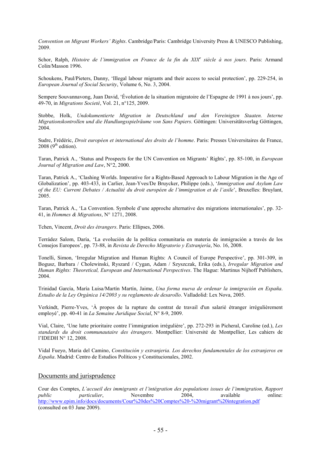*Convention on Migrant Workers' Rights*. Cambridge/Paris: Cambridge University Press & UNESCO Publishing, 2009.

Schor, Ralph, *Histoire de l'immigration en France de la fin du XIX<sup>e</sup> siècle à nos jours*. Paris: Armand Colin/Masson 1996.

Schoukens, Paul/Pieters, Danny, 'Illegal labour migrants and their access to social protection', pp. 229-254, in *European Journal of Social Security*, Volume 6, No. 3, 2004.

Sempere Souvannavong, Juan David, 'Évolution de la situation migratoire de l'Espagne de 1991 à nos jours', pp. 49-70, in *Migrations Societé*, Vol. 21, n°125, 2009.

Stobbe, Holk, *Undokumentierte Migration in Deutschland und den Vereinigten Staaten. Interne Migrationskontrollen und die Handlungsspielräume von Sans Papiers*. Göttingen: Universitätsverlag Göttingen, 2004.

Sudre, Frédéric, *Droit européen et international des droits de l'homme*. Paris: Presses Universitaires de France,  $2008 (9<sup>th</sup> edition).$ 

Taran, Patrick A., 'Status and Prospects for the UN Convention on Migrants' Rights', pp. 85-100, in *European Journal of Migration and Law*, N°2, 2000.

Taran, Patrick A., 'Clashing Worlds. Imperative for a Rights-Based Approach to Labour Migration in the Age of Globalization', pp. 403-433, in Carlier, Jean-Yves/De Bruycker, Philippe (eds.), '*Immigration and Asylum Law of the EU: Current Debates / Actualité du droit européen de l'immigration et de l'asile*', Bruxelles: Bruylant, 2005.

Taran, Patrick A., 'La Convention. Symbole d'une approche alternative des migrations internationales', pp. 32- 41, in *Hommes & Migrations*, N° 1271, 2008.

Tchen, Vincent, *Droit des étrangers*. Paris: Ellipses, 2006.

Terrádez Salom, Daría, 'La evolución de la política comunitaria en materia de inmigración a través de los Consejos Europeos', pp. 73-88, in *Revista de Derecho Migratorio y Extranjería*, No. 16, 2008.

Tonelli, Simon, 'Irregular Migration and Human Rights: A Council of Europe Perspective', pp. 301-309, in Bogusz, Barbara / Cholewinski, Ryszard / Cygan, Adam / Szyszczak, Erika (eds.), *Irregular Migration and Human Rights: Theoretical, European and International Perspectives*. The Hague: Martinus Nijhoff Publishers, 2004.

Trinidad García, María Luisa/Martín Martín, Jaime, *Una forma nueva de ordenar la inmigración en España*. *Estudio de la Ley Orgánica 14/2003 y su reglamento de desarollo*. Valladolid: Lex Nova, 2005.

Verkindt, Pierre-Yves, 'À propos de la rupture du contrat de travail d'un salarié étranger irrégulièrement employé', pp. 40-41 in *La Semaine Juridique Social*, N° 8-9, 2009.

Vial, Claire, 'Une lutte prioritaire contre l'immigration irrégulière', pp. 272-293 in Picheral, Caroline (ed.), *Les standards du droit communautaire des étrangers*. Montpellier: Université de Montpellier, Les cahiers de l'IDEDH N° 12, 2008.

Vidal Fueyo, Maria del Camino, *Constitución y extranjeria. Los derechos fundamentales de los extranjeros en España*. Madrid: Centro de Estudios Políticos y Constitucionales, 2002.

#### Documents and jurisprudence

Cour des Comptes, *L'accueil des immigrants et l'intégration des populations issues de l'immigration, Rapport public particulier*, Novembre 2004, available online: http://www.epim.info/docs/documents/Cour%20des%20Comptes%20-%20migrant%20integration.pdf (consulted on 03 June 2009).